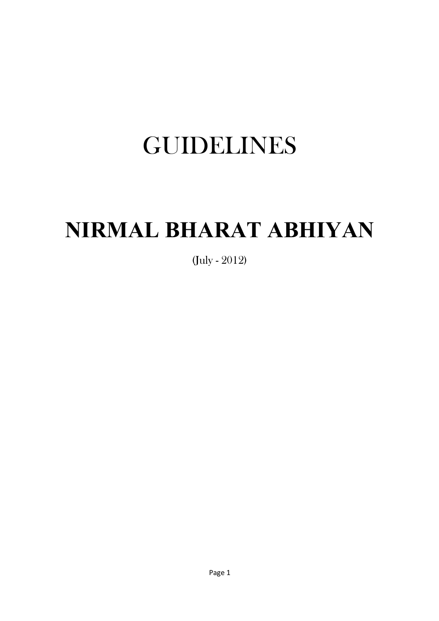# GUIDELINES

# **NIRMAL BHARAT ABHIYAN**

(July - 2012)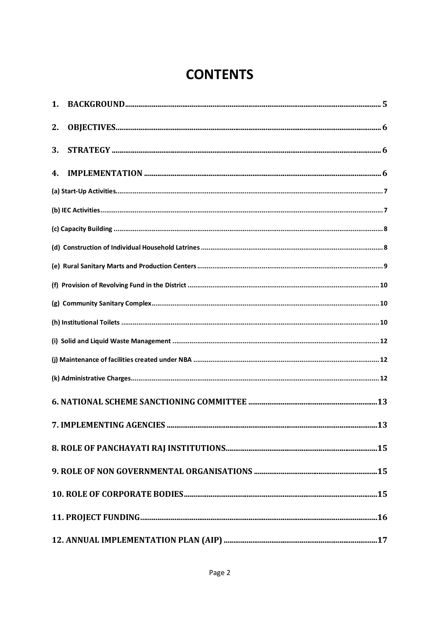## **CONTENTS**

| 2. |    |
|----|----|
| 3. |    |
| 4. |    |
|    |    |
|    |    |
|    |    |
|    |    |
|    |    |
|    |    |
|    |    |
|    |    |
|    |    |
|    |    |
|    |    |
|    |    |
|    | 13 |
|    |    |
|    |    |
|    |    |
|    |    |
|    |    |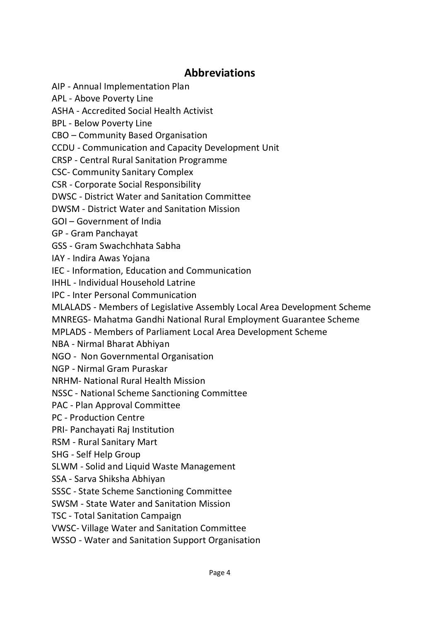### **Abbreviations**

AIP - Annual Implementation Plan

APL - Above Poverty Line

ASHA - Accredited Social Health Activist

BPL - Below Poverty Line

CBO – Community Based Organisation

CCDU - Communication and Capacity Development Unit

CRSP - Central Rural Sanitation Programme

CSC- Community Sanitary Complex

CSR - Corporate Social Responsibility

DWSC - District Water and Sanitation Committee

DWSM - District Water and Sanitation Mission

GOI – Government of India

GP - Gram Panchayat

GSS - Gram Swachchhata Sabha

IAY - Indira Awas Yojana

IEC - Information, Education and Communication

IHHL - Individual Household Latrine

IPC - Inter Personal Communication

MLALADS - Members of Legislative Assembly Local Area Development Scheme

MNREGS- Mahatma Gandhi National Rural Employment Guarantee Scheme

MPLADS - Members of Parliament Local Area Development Scheme

NBA - Nirmal Bharat Abhiyan

NGO - Non Governmental Organisation

NGP - Nirmal Gram Puraskar

NRHM- National Rural Health Mission

NSSC - National Scheme Sanctioning Committee

PAC - Plan Approval Committee

PC - Production Centre

PRI- Panchayati Raj Institution

RSM - Rural Sanitary Mart

SHG - Self Help Group

SLWM - Solid and Liquid Waste Management

SSA - Sarva Shiksha Abhiyan

SSSC - State Scheme Sanctioning Committee

SWSM - State Water and Sanitation Mission

TSC - Total Sanitation Campaign

VWSC- Village Water and Sanitation Committee

WSSO - Water and Sanitation Support Organisation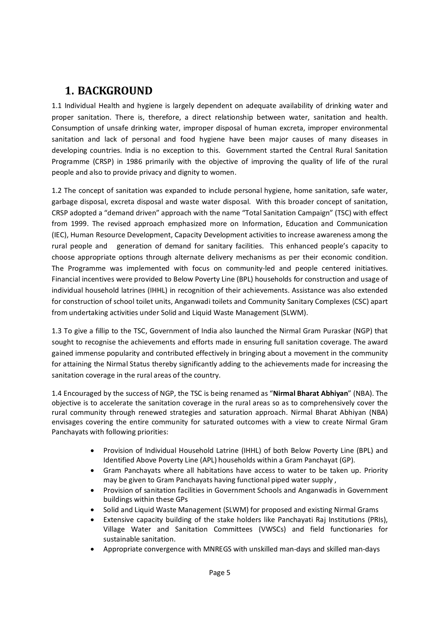### **1. BACKGROUND**

1.1 Individual Health and hygiene is largely dependent on adequate availability of drinking water and proper sanitation. There is, therefore, a direct relationship between water, sanitation and health. Consumption of unsafe drinking water, improper disposal of human excreta, improper environmental sanitation and lack of personal and food hygiene have been major causes of many diseases in developing countries. India is no exception to this. Government started the Central Rural Sanitation Programme (CRSP) in 1986 primarily with the objective of improving the quality of life of the rural people and also to provide privacy and dignity to women.

1.2 The concept of sanitation was expanded to include personal hygiene, home sanitation, safe water, garbage disposal, excreta disposal and waste water disposal. With this broader concept of sanitation, CRSP adopted a "demand driven" approach with the name "Total Sanitation Campaign" (TSC) with effect from 1999. The revised approach emphasized more on Information, Education and Communication (IEC), Human Resource Development, Capacity Development activities to increase awareness among the rural people and generation of demand for sanitary facilities. This enhanced people's capacity to choose appropriate options through alternate delivery mechanisms as per their economic condition. The Programme was implemented with focus on community-led and people centered initiatives. Financial incentives were provided to Below Poverty Line (BPL) households for construction and usage of individual household latrines (IHHL) in recognition of their achievements. Assistance was also extended for construction of school toilet units, Anganwadi toilets and Community Sanitary Complexes (CSC) apart from undertaking activities under Solid and Liquid Waste Management (SLWM).

1.3 To give a fillip to the TSC, Government of India also launched the Nirmal Gram Puraskar (NGP) that sought to recognise the achievements and efforts made in ensuring full sanitation coverage. The award gained immense popularity and contributed effectively in bringing about a movement in the community for attaining the Nirmal Status thereby significantly adding to the achievements made for increasing the sanitation coverage in the rural areas of the country.

1.4 Encouraged by the success of NGP, the TSC is being renamed as "**Nirmal Bharat Abhiyan**" (NBA). The objective is to accelerate the sanitation coverage in the rural areas so as to comprehensively cover the rural community through renewed strategies and saturation approach. Nirmal Bharat Abhiyan (NBA) envisages covering the entire community for saturated outcomes with a view to create Nirmal Gram Panchayats with following priorities:

- Provision of Individual Household Latrine (IHHL) of both Below Poverty Line (BPL) and Identified Above Poverty Line (APL) households within a Gram Panchayat (GP).
- Gram Panchayats where all habitations have access to water to be taken up. Priority may be given to Gram Panchayats having functional piped water supply ,
- Provision of sanitation facilities in Government Schools and Anganwadis in Government buildings within these GPs
- Solid and Liquid Waste Management (SLWM) for proposed and existing Nirmal Grams
- Extensive capacity building of the stake holders like Panchayati Raj Institutions (PRIs), Village Water and Sanitation Committees (VWSCs) and field functionaries for sustainable sanitation.
- Appropriate convergence with MNREGS with unskilled man-days and skilled man-days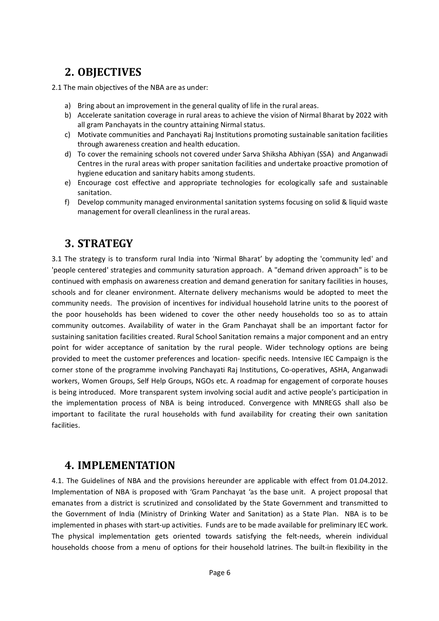### **2. OBJECTIVES**

2.1 The main objectives of the NBA are as under:

- a) Bring about an improvement in the general quality of life in the rural areas.
- b) Accelerate sanitation coverage in rural areas to achieve the vision of Nirmal Bharat by 2022 with all gram Panchayats in the country attaining Nirmal status.
- c) Motivate communities and Panchayati Raj Institutions promoting sustainable sanitation facilities through awareness creation and health education.
- d) To cover the remaining schools not covered under Sarva Shiksha Abhiyan (SSA) and Anganwadi Centres in the rural areas with proper sanitation facilities and undertake proactive promotion of hygiene education and sanitary habits among students.
- e) Encourage cost effective and appropriate technologies for ecologically safe and sustainable sanitation.
- f) Develop community managed environmental sanitation systems focusing on solid & liquid waste management for overall cleanliness in the rural areas.

### **3. STRATEGY**

3.1 The strategy is to transform rural India into 'Nirmal Bharat' by adopting the 'community led' and 'people centered' strategies and community saturation approach. A "demand driven approach" is to be continued with emphasis on awareness creation and demand generation for sanitary facilities in houses, schools and for cleaner environment. Alternate delivery mechanisms would be adopted to meet the community needs. The provision of incentives for individual household latrine units to the poorest of the poor households has been widened to cover the other needy households too so as to attain community outcomes. Availability of water in the Gram Panchayat shall be an important factor for sustaining sanitation facilities created. Rural School Sanitation remains a major component and an entry point for wider acceptance of sanitation by the rural people. Wider technology options are being provided to meet the customer preferences and location- specific needs. Intensive IEC Campaign is the corner stone of the programme involving Panchayati Raj Institutions, Co-operatives, ASHA, Anganwadi workers, Women Groups, Self Help Groups, NGOs etc. A roadmap for engagement of corporate houses is being introduced. More transparent system involving social audit and active people's participation in the implementation process of NBA is being introduced. Convergence with MNREGS shall also be important to facilitate the rural households with fund availability for creating their own sanitation facilities.

### **4. IMPLEMENTATION**

4.1. The Guidelines of NBA and the provisions hereunder are applicable with effect from 01.04.2012. Implementation of NBA is proposed with 'Gram Panchayat 'as the base unit. A project proposal that emanates from a district is scrutinized and consolidated by the State Government and transmitted to the Government of India (Ministry of Drinking Water and Sanitation) as a State Plan. NBA is to be implemented in phases with start-up activities. Funds are to be made available for preliminary IEC work. The physical implementation gets oriented towards satisfying the felt-needs, wherein individual households choose from a menu of options for their household latrines. The built-in flexibility in the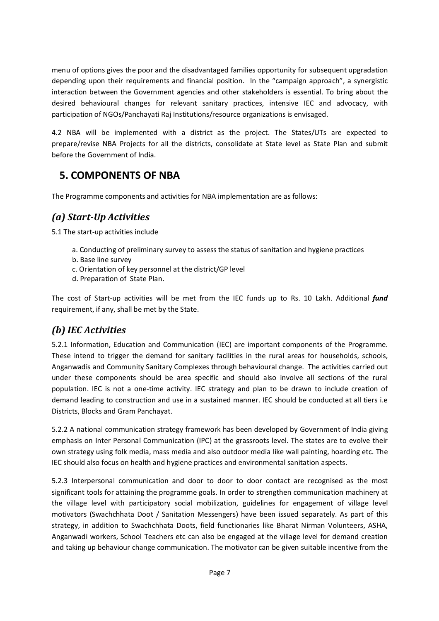menu of options gives the poor and the disadvantaged families opportunity for subsequent upgradation depending upon their requirements and financial position. In the "campaign approach", a synergistic interaction between the Government agencies and other stakeholders is essential. To bring about the desired behavioural changes for relevant sanitary practices, intensive IEC and advocacy, with participation of NGOs/Panchayati Raj Institutions/resource organizations is envisaged.

4.2 NBA will be implemented with a district as the project. The States/UTs are expected to prepare/revise NBA Projects for all the districts, consolidate at State level as State Plan and submit before the Government of India.

### **5. COMPONENTS OF NBA**

The Programme components and activities for NBA implementation are as follows:

### *(a) Start-Up Activities*

5.1 The start-up activities include

- a. Conducting of preliminary survey to assess the status of sanitation and hygiene practices
- b. Base line survey
- c. Orientation of key personnel at the district/GP level
- d. Preparation of State Plan.

The cost of Start-up activities will be met from the IEC funds up to Rs. 10 Lakh. Additional *fund* requirement, if any, shall be met by the State.

### *(b) IEC Activities*

5.2.1 Information, Education and Communication (IEC) are important components of the Programme. These intend to trigger the demand for sanitary facilities in the rural areas for households, schools, Anganwadis and Community Sanitary Complexes through behavioural change. The activities carried out under these components should be area specific and should also involve all sections of the rural population. IEC is not a one-time activity. IEC strategy and plan to be drawn to include creation of demand leading to construction and use in a sustained manner. IEC should be conducted at all tiers i.e Districts, Blocks and Gram Panchayat.

5.2.2 A national communication strategy framework has been developed by Government of India giving emphasis on Inter Personal Communication (IPC) at the grassroots level. The states are to evolve their own strategy using folk media, mass media and also outdoor media like wall painting, hoarding etc. The IEC should also focus on health and hygiene practices and environmental sanitation aspects.

5.2.3 Interpersonal communication and door to door to door contact are recognised as the most significant tools for attaining the programme goals. In order to strengthen communication machinery at the village level with participatory social mobilization, guidelines for engagement of village level motivators (Swachchhata Doot / Sanitation Messengers) have been issued separately. As part of this strategy, in addition to Swachchhata Doots, field functionaries like Bharat Nirman Volunteers, ASHA, Anganwadi workers, School Teachers etc can also be engaged at the village level for demand creation and taking up behaviour change communication. The motivator can be given suitable incentive from the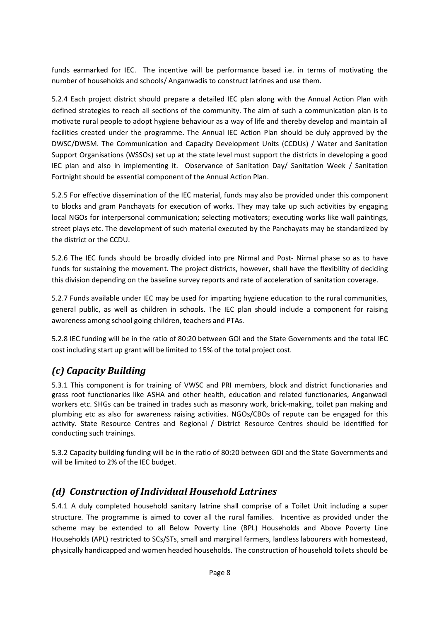funds earmarked for IEC. The incentive will be performance based i.e. in terms of motivating the number of households and schools/ Anganwadis to construct latrines and use them.

5.2.4 Each project district should prepare a detailed IEC plan along with the Annual Action Plan with defined strategies to reach all sections of the community. The aim of such a communication plan is to motivate rural people to adopt hygiene behaviour as a way of life and thereby develop and maintain all facilities created under the programme. The Annual IEC Action Plan should be duly approved by the DWSC/DWSM. The Communication and Capacity Development Units (CCDUs) / Water and Sanitation Support Organisations (WSSOs) set up at the state level must support the districts in developing a good IEC plan and also in implementing it. Observance of Sanitation Day/ Sanitation Week / Sanitation Fortnight should be essential component of the Annual Action Plan.

5.2.5 For effective dissemination of the IEC material, funds may also be provided under this component to blocks and gram Panchayats for execution of works. They may take up such activities by engaging local NGOs for interpersonal communication; selecting motivators; executing works like wall paintings, street plays etc. The development of such material executed by the Panchayats may be standardized by the district or the CCDU.

5.2.6 The IEC funds should be broadly divided into pre Nirmal and Post- Nirmal phase so as to have funds for sustaining the movement. The project districts, however, shall have the flexibility of deciding this division depending on the baseline survey reports and rate of acceleration of sanitation coverage.

5.2.7 Funds available under IEC may be used for imparting hygiene education to the rural communities, general public, as well as children in schools. The IEC plan should include a component for raising awareness among school going children, teachers and PTAs.

5.2.8 IEC funding will be in the ratio of 80:20 between GOI and the State Governments and the total IEC cost including start up grant will be limited to 15% of the total project cost.

### *(c) Capacity Building*

5.3.1 This component is for training of VWSC and PRI members, block and district functionaries and grass root functionaries like ASHA and other health, education and related functionaries, Anganwadi workers etc. SHGs can be trained in trades such as masonry work, brick-making, toilet pan making and plumbing etc as also for awareness raising activities. NGOs/CBOs of repute can be engaged for this activity. State Resource Centres and Regional / District Resource Centres should be identified for conducting such trainings.

5.3.2 Capacity building funding will be in the ratio of 80:20 between GOI and the State Governments and will be limited to 2% of the IEC budget.

#### *(d) Construction of Individual Household Latrines*

5.4.1 A duly completed household sanitary latrine shall comprise of a Toilet Unit including a super structure. The programme is aimed to cover all the rural families. Incentive as provided under the scheme may be extended to all Below Poverty Line (BPL) Households and Above Poverty Line Households (APL) restricted to SCs/STs, small and marginal farmers, landless labourers with homestead, physically handicapped and women headed households. The construction of household toilets should be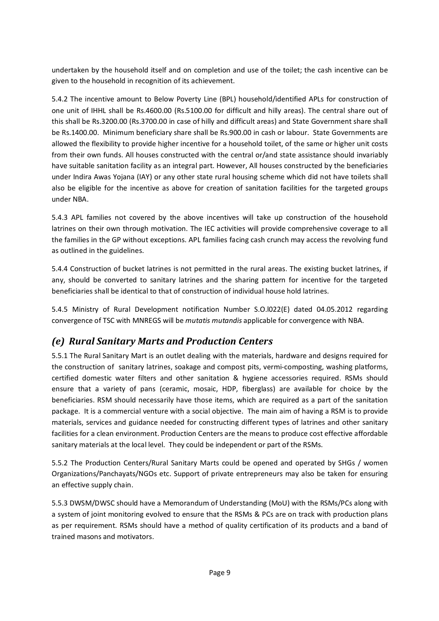undertaken by the household itself and on completion and use of the toilet; the cash incentive can be given to the household in recognition of its achievement.

5.4.2 The incentive amount to Below Poverty Line (BPL) household/identified APLs for construction of one unit of IHHL shall be Rs.4600.00 (Rs.5100.00 for difficult and hilly areas). The central share out of this shall be Rs.3200.00 (Rs.3700.00 in case of hilly and difficult areas) and State Government share shall be Rs.1400.00. Minimum beneficiary share shall be Rs.900.00 in cash or labour. State Governments are allowed the flexibility to provide higher incentive for a household toilet, of the same or higher unit costs from their own funds. All houses constructed with the central or/and state assistance should invariably have suitable sanitation facility as an integral part. However, All houses constructed by the beneficiaries under Indira Awas Yojana (IAY) or any other state rural housing scheme which did not have toilets shall also be eligible for the incentive as above for creation of sanitation facilities for the targeted groups under NBA.

5.4.3 APL families not covered by the above incentives will take up construction of the household latrines on their own through motivation. The IEC activities will provide comprehensive coverage to all the families in the GP without exceptions. APL families facing cash crunch may access the revolving fund as outlined in the guidelines.

5.4.4 Construction of bucket latrines is not permitted in the rural areas. The existing bucket latrines, if any, should be converted to sanitary latrines and the sharing pattern for incentive for the targeted beneficiaries shall be identical to that of construction of individual house hold latrines.

5.4.5 Ministry of Rural Development notification Number S.O.l022(E) dated 04.05.2012 regarding convergence of TSC with MNREGS will be *mutatis mutandis* applicable for convergence with NBA.

### *(e) Rural Sanitary Marts and Production Centers*

5.5.1 The Rural Sanitary Mart is an outlet dealing with the materials, hardware and designs required for the construction of sanitary latrines, soakage and compost pits, vermi-composting, washing platforms, certified domestic water filters and other sanitation & hygiene accessories required. RSMs should ensure that a variety of pans (ceramic, mosaic, HDP, fiberglass) are available for choice by the beneficiaries. RSM should necessarily have those items, which are required as a part of the sanitation package. It is a commercial venture with a social objective. The main aim of having a RSM is to provide materials, services and guidance needed for constructing different types of latrines and other sanitary facilities for a clean environment. Production Centers are the means to produce cost effective affordable sanitary materials at the local level. They could be independent or part of the RSMs.

5.5.2 The Production Centers/Rural Sanitary Marts could be opened and operated by SHGs / women Organizations/Panchayats/NGOs etc. Support of private entrepreneurs may also be taken for ensuring an effective supply chain.

5.5.3 DWSM/DWSC should have a Memorandum of Understanding (MoU) with the RSMs/PCs along with a system of joint monitoring evolved to ensure that the RSMs & PCs are on track with production plans as per requirement. RSMs should have a method of quality certification of its products and a band of trained masons and motivators.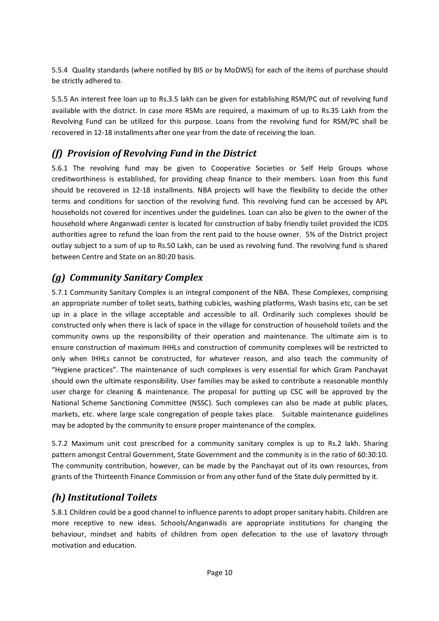5.5.4 Quality standards (where notified by BIS or by MoDWS) for each of the items of purchase should be strictly adhered to.

5.5.5 An interest free loan up to Rs.3.5 lakh can be given for establishing RSM/PC out of revolving fund available with the district. In case more RSMs are required, a maximum of up to Rs.35 Lakh from the Revolving Fund can be utilized for this purpose. Loans from the revolving fund for RSM/PC shall be recovered in 12-18 installments after one year from the date of receiving the loan.

#### *(f) Provision of Revolving Fund in the District*

5.6.1 The revolving fund may be given to Cooperative Societies or Self Help Groups whose creditworthiness is established, for providing cheap finance to their members. Loan from this fund should be recovered in 12-18 installments. NBA projects will have the flexibility to decide the other terms and conditions for sanction of the revolving fund. This revolving fund can be accessed by APL households not covered for incentives under the guidelines. Loan can also be given to the owner of the household where Anganwadi center is located for construction of baby friendly toilet provided the ICDS authorities agree to refund the loan from the rent paid to the house owner. 5% of the District project outlay subject to a sum of up to Rs.50 Lakh, can be used as revolving fund. The revolving fund is shared between Centre and State on an 80:20 basis.

### *(g) Community Sanitary Complex*

5.7.1 Community Sanitary Complex is an integral component of the NBA. These Complexes, comprising an appropriate number of toilet seats, bathing cubicles, washing platforms, Wash basins etc, can be set up in a place in the village acceptable and accessible to all. Ordinarily such complexes should be constructed only when there is lack of space in the village for construction of household toilets and the community owns up the responsibility of their operation and maintenance. The ultimate aim is to ensure construction of maximum IHHLs and construction of community complexes will be restricted to only when IHHLs cannot be constructed, for whatever reason, and also teach the community of "Hygiene practices". The maintenance of such complexes is very essential for which Gram Panchayat should own the ultimate responsibility. User families may be asked to contribute a reasonable monthly user charge for cleaning & maintenance. The proposal for putting up CSC will be approved by the National Scheme Sanctioning Committee (NSSC). Such complexes can also be made at public places, markets, etc. where large scale congregation of people takes place. Suitable maintenance guidelines may be adopted by the community to ensure proper maintenance of the complex.

5.7.2 Maximum unit cost prescribed for a community sanitary complex is up to Rs.2 lakh. Sharing pattern amongst Central Government, State Government and the community is in the ratio of 60:30:10. The community contribution, however, can be made by the Panchayat out of its own resources, from grants of the Thirteenth Finance Commission or from any other fund of the State duly permitted by it.

### *(h) Institutional Toilets*

5.8.1 Children could be a good channel to influence parents to adopt proper sanitary habits. Children are more receptive to new ideas. Schools/Anganwadis are appropriate institutions for changing the behaviour, mindset and habits of children from open defecation to the use of lavatory through motivation and education.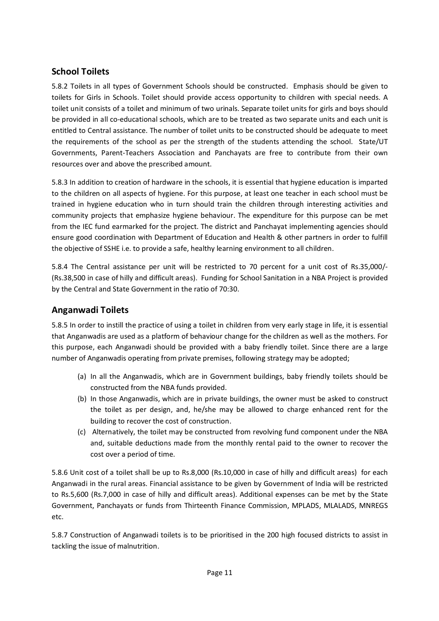#### **School Toilets**

5.8.2 Toilets in all types of Government Schools should be constructed. Emphasis should be given to toilets for Girls in Schools. Toilet should provide access opportunity to children with special needs. A toilet unit consists of a toilet and minimum of two urinals. Separate toilet units for girls and boys should be provided in all co-educational schools, which are to be treated as two separate units and each unit is entitled to Central assistance. The number of toilet units to be constructed should be adequate to meet the requirements of the school as per the strength of the students attending the school. State/UT Governments, Parent-Teachers Association and Panchayats are free to contribute from their own resources over and above the prescribed amount.

5.8.3 In addition to creation of hardware in the schools, it is essential that hygiene education is imparted to the children on all aspects of hygiene. For this purpose, at least one teacher in each school must be trained in hygiene education who in turn should train the children through interesting activities and community projects that emphasize hygiene behaviour. The expenditure for this purpose can be met from the IEC fund earmarked for the project. The district and Panchayat implementing agencies should ensure good coordination with Department of Education and Health & other partners in order to fulfill the objective of SSHE i.e. to provide a safe, healthy learning environment to all children.

5.8.4 The Central assistance per unit will be restricted to 70 percent for a unit cost of Rs.35,000/- (Rs.38,500 in case of hilly and difficult areas). Funding for School Sanitation in a NBA Project is provided by the Central and State Government in the ratio of 70:30.

#### **Anganwadi Toilets**

5.8.5 In order to instill the practice of using a toilet in children from very early stage in life, it is essential that Anganwadis are used as a platform of behaviour change for the children as well as the mothers. For this purpose, each Anganwadi should be provided with a baby friendly toilet. Since there are a large number of Anganwadis operating from private premises, following strategy may be adopted;

- (a) In all the Anganwadis, which are in Government buildings, baby friendly toilets should be constructed from the NBA funds provided.
- (b) In those Anganwadis, which are in private buildings, the owner must be asked to construct the toilet as per design, and, he/she may be allowed to charge enhanced rent for the building to recover the cost of construction.
- (c) Alternatively, the toilet may be constructed from revolving fund component under the NBA and, suitable deductions made from the monthly rental paid to the owner to recover the cost over a period of time.

5.8.6 Unit cost of a toilet shall be up to Rs.8,000 (Rs.10,000 in case of hilly and difficult areas) for each Anganwadi in the rural areas. Financial assistance to be given by Government of India will be restricted to Rs.5,600 (Rs.7,000 in case of hilly and difficult areas). Additional expenses can be met by the State Government, Panchayats or funds from Thirteenth Finance Commission, MPLADS, MLALADS, MNREGS etc.

5.8.7 Construction of Anganwadi toilets is to be prioritised in the 200 high focused districts to assist in tackling the issue of malnutrition.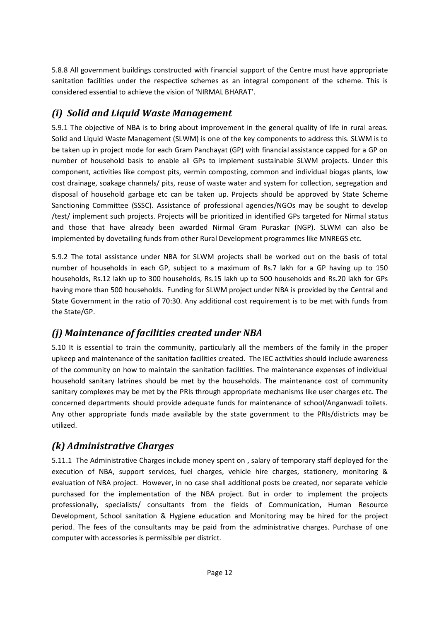5.8.8 All government buildings constructed with financial support of the Centre must have appropriate sanitation facilities under the respective schemes as an integral component of the scheme. This is considered essential to achieve the vision of 'NIRMAL BHARAT'.

### *(i) Solid and Liquid Waste Management*

5.9.1 The objective of NBA is to bring about improvement in the general quality of life in rural areas. Solid and Liquid Waste Management (SLWM) is one of the key components to address this. SLWM is to be taken up in project mode for each Gram Panchayat (GP) with financial assistance capped for a GP on number of household basis to enable all GPs to implement sustainable SLWM projects. Under this component, activities like compost pits, vermin composting, common and individual biogas plants, low cost drainage, soakage channels/ pits, reuse of waste water and system for collection, segregation and disposal of household garbage etc can be taken up. Projects should be approved by State Scheme Sanctioning Committee (SSSC). Assistance of professional agencies/NGOs may be sought to develop /test/ implement such projects. Projects will be prioritized in identified GPs targeted for Nirmal status and those that have already been awarded Nirmal Gram Puraskar (NGP). SLWM can also be implemented by dovetailing funds from other Rural Development programmes like MNREGS etc.

5.9.2 The total assistance under NBA for SLWM projects shall be worked out on the basis of total number of households in each GP, subject to a maximum of Rs.7 lakh for a GP having up to 150 households, Rs.12 lakh up to 300 households, Rs.15 lakh up to 500 households and Rs.20 lakh for GPs having more than 500 households. Funding for SLWM project under NBA is provided by the Central and State Government in the ratio of 70:30. Any additional cost requirement is to be met with funds from the State/GP.

### *(j) Maintenance of facilities created under NBA*

5.10 It is essential to train the community, particularly all the members of the family in the proper upkeep and maintenance of the sanitation facilities created. The IEC activities should include awareness of the community on how to maintain the sanitation facilities. The maintenance expenses of individual household sanitary latrines should be met by the households. The maintenance cost of community sanitary complexes may be met by the PRIs through appropriate mechanisms like user charges etc. The concerned departments should provide adequate funds for maintenance of school/Anganwadi toilets. Any other appropriate funds made available by the state government to the PRIs/districts may be utilized.

### *(k) Administrative Charges*

5.11.1 The Administrative Charges include money spent on , salary of temporary staff deployed for the execution of NBA, support services, fuel charges, vehicle hire charges, stationery, monitoring & evaluation of NBA project. However, in no case shall additional posts be created, nor separate vehicle purchased for the implementation of the NBA project. But in order to implement the projects professionally, specialists/ consultants from the fields of Communication, Human Resource Development, School sanitation & Hygiene education and Monitoring may be hired for the project period. The fees of the consultants may be paid from the administrative charges. Purchase of one computer with accessories is permissible per district.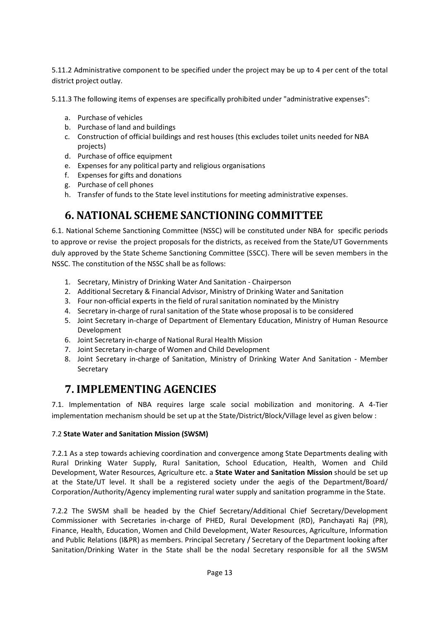5.11.2 Administrative component to be specified under the project may be up to 4 per cent of the total district project outlay.

5.11.3 The following items of expenses are specifically prohibited under "administrative expenses":

- a. Purchase of vehicles
- b. Purchase of land and buildings
- c. Construction of official buildings and rest houses (this excludes toilet units needed for NBA projects)
- d. Purchase of office equipment
- e. Expenses for any political party and religious organisations
- f. Expenses for gifts and donations
- g. Purchase of cell phones
- h. Transfer of funds to the State level institutions for meeting administrative expenses.

### **6. NATIONAL SCHEME SANCTIONING COMMITTEE**

6.1. National Scheme Sanctioning Committee (NSSC) will be constituted under NBA for specific periods to approve or revise the project proposals for the districts, as received from the State/UT Governments duly approved by the State Scheme Sanctioning Committee (SSCC). There will be seven members in the NSSC. The constitution of the NSSC shall be as follows:

- 1. Secretary, Ministry of Drinking Water And Sanitation Chairperson
- 2. Additional Secretary & Financial Advisor, Ministry of Drinking Water and Sanitation
- 3. Four non-official experts in the field of rural sanitation nominated by the Ministry
- 4. Secretary in-charge of rural sanitation of the State whose proposal is to be considered
- 5. Joint Secretary in-charge of Department of Elementary Education, Ministry of Human Resource Development
- 6. Joint Secretary in-charge of National Rural Health Mission
- 7. Joint Secretary in-charge of Women and Child Development
- 8. Joint Secretary in-charge of Sanitation, Ministry of Drinking Water And Sanitation Member Secretary

### **7. IMPLEMENTING AGENCIES**

7.1. Implementation of NBA requires large scale social mobilization and monitoring. A 4-Tier implementation mechanism should be set up at the State/District/Block/Village level as given below :

#### 7.2 **State Water and Sanitation Mission (SWSM)**

7.2.1 As a step towards achieving coordination and convergence among State Departments dealing with Rural Drinking Water Supply, Rural Sanitation, School Education, Health, Women and Child Development, Water Resources, Agriculture etc. a **State Water and Sanitation Mission** should be set up at the State/UT level. It shall be a registered society under the aegis of the Department/Board/ Corporation/Authority/Agency implementing rural water supply and sanitation programme in the State.

7.2.2 The SWSM shall be headed by the Chief Secretary/Additional Chief Secretary/Development Commissioner with Secretaries in-charge of PHED, Rural Development (RD), Panchayati Raj (PR), Finance, Health, Education, Women and Child Development, Water Resources, Agriculture, Information and Public Relations (I&PR) as members. Principal Secretary / Secretary of the Department looking after Sanitation/Drinking Water in the State shall be the nodal Secretary responsible for all the SWSM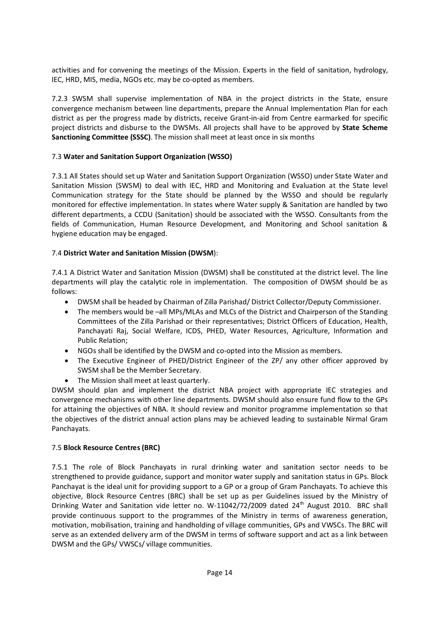activities and for convening the meetings of the Mission. Experts in the field of sanitation, hydrology, IEC, HRD, MIS, media, NGOs etc. may be co-opted as members.

7.2.3 SWSM shall supervise implementation of NBA in the project districts in the State, ensure convergence mechanism between line departments, prepare the Annual Implementation Plan for each district as per the progress made by districts, receive Grant-in-aid from Centre earmarked for specific project districts and disburse to the DWSMs. All projects shall have to be approved by **State Scheme Sanctioning Committee (SSSC)**. The mission shall meet at least once in six months

#### 7.3 **Water and Sanitation Support Organization (WSSO)**

7.3.1 All States should set up Water and Sanitation Support Organization (WSSO) under State Water and Sanitation Mission (SWSM) to deal with IEC, HRD and Monitoring and Evaluation at the State level Communication strategy for the State should be planned by the WSSO and should be regularly monitored for effective implementation. In states where Water supply & Sanitation are handled by two different departments, a CCDU (Sanitation) should be associated with the WSSO. Consultants from the fields of Communication, Human Resource Development, and Monitoring and School sanitation & hygiene education may be engaged.

#### 7.4 **District Water and Sanitation Mission (DWSM**):

7.4.1 A District Water and Sanitation Mission (DWSM) shall be constituted at the district level. The line departments will play the catalytic role in implementation. The composition of DWSM should be as follows:

- DWSM shall be headed by Chairman of Zilla Parishad/ District Collector/Deputy Commissioner.
- The members would be –all MPs/MLAs and MLCs of the District and Chairperson of the Standing Committees of the Zilla Parishad or their representatives; District Officers of Education, Health, Panchayati Raj, Social Welfare, ICDS, PHED, Water Resources, Agriculture, Information and Public Relation;
- NGOs shall be identified by the DWSM and co-opted into the Mission as members.
- The Executive Engineer of PHED/District Engineer of the ZP/ any other officer approved by SWSM shall be the Member Secretary.
- The Mission shall meet at least quarterly.

DWSM should plan and implement the district NBA project with appropriate IEC strategies and convergence mechanisms with other line departments. DWSM should also ensure fund flow to the GPs for attaining the objectives of NBA. It should review and monitor programme implementation so that the objectives of the district annual action plans may be achieved leading to sustainable Nirmal Gram Panchayats.

#### 7.5 **Block Resource Centres (BRC)**

7.5.1 The role of Block Panchayats in rural drinking water and sanitation sector needs to be strengthened to provide guidance, support and monitor water supply and sanitation status in GPs. Block Panchayat is the ideal unit for providing support to a GP or a group of Gram Panchayats. To achieve this objective, Block Resource Centres (BRC) shall be set up as per Guidelines issued by the Ministry of Drinking Water and Sanitation vide letter no. W-11042/72/2009 dated 24<sup>th</sup> August 2010. BRC shall provide continuous support to the programmes of the Ministry in terms of awareness generation, motivation, mobilisation, training and handholding of village communities, GPs and VWSCs. The BRC will serve as an extended delivery arm of the DWSM in terms of software support and act as a link between DWSM and the GPs/ VWSCs/ village communities.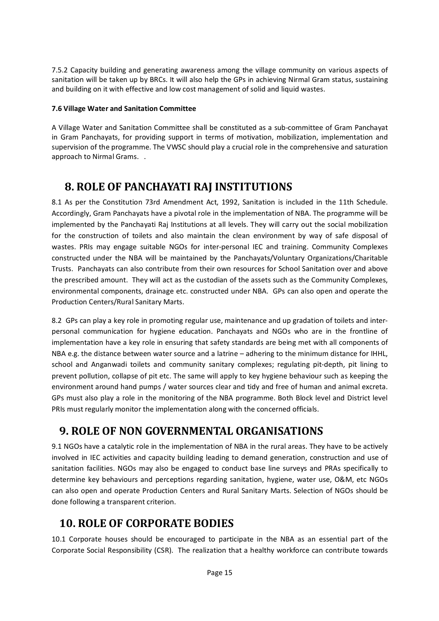7.5.2 Capacity building and generating awareness among the village community on various aspects of sanitation will be taken up by BRCs. It will also help the GPs in achieving Nirmal Gram status, sustaining and building on it with effective and low cost management of solid and liquid wastes.

#### **7.6 Village Water and Sanitation Committee**

A Village Water and Sanitation Committee shall be constituted as a sub-committee of Gram Panchayat in Gram Panchayats, for providing support in terms of motivation, mobilization, implementation and supervision of the programme. The VWSC should play a crucial role in the comprehensive and saturation approach to Nirmal Grams. .

### **8. ROLE OF PANCHAYATI RAJ INSTITUTIONS**

8.1 As per the Constitution 73rd Amendment Act, 1992, Sanitation is included in the 11th Schedule. Accordingly, Gram Panchayats have a pivotal role in the implementation of NBA. The programme will be implemented by the Panchayati Raj Institutions at all levels. They will carry out the social mobilization for the construction of toilets and also maintain the clean environment by way of safe disposal of wastes. PRIs may engage suitable NGOs for inter-personal IEC and training. Community Complexes constructed under the NBA will be maintained by the Panchayats/Voluntary Organizations/Charitable Trusts. Panchayats can also contribute from their own resources for School Sanitation over and above the prescribed amount. They will act as the custodian of the assets such as the Community Complexes, environmental components, drainage etc. constructed under NBA. GPs can also open and operate the Production Centers/Rural Sanitary Marts.

8.2 GPs can play a key role in promoting regular use, maintenance and up gradation of toilets and interpersonal communication for hygiene education. Panchayats and NGOs who are in the frontline of implementation have a key role in ensuring that safety standards are being met with all components of NBA e.g. the distance between water source and a latrine – adhering to the minimum distance for IHHL, school and Anganwadi toilets and community sanitary complexes; regulating pit-depth, pit lining to prevent pollution, collapse of pit etc. The same will apply to key hygiene behaviour such as keeping the environment around hand pumps / water sources clear and tidy and free of human and animal excreta. GPs must also play a role in the monitoring of the NBA programme. Both Block level and District level PRIs must regularly monitor the implementation along with the concerned officials.

### **9. ROLE OF NON GOVERNMENTAL ORGANISATIONS**

9.1 NGOs have a catalytic role in the implementation of NBA in the rural areas. They have to be actively involved in IEC activities and capacity building leading to demand generation, construction and use of sanitation facilities. NGOs may also be engaged to conduct base line surveys and PRAs specifically to determine key behaviours and perceptions regarding sanitation, hygiene, water use, O&M, etc NGOs can also open and operate Production Centers and Rural Sanitary Marts. Selection of NGOs should be done following a transparent criterion.

### **10. ROLE OF CORPORATE BODIES**

10.1 Corporate houses should be encouraged to participate in the NBA as an essential part of the Corporate Social Responsibility (CSR). The realization that a healthy workforce can contribute towards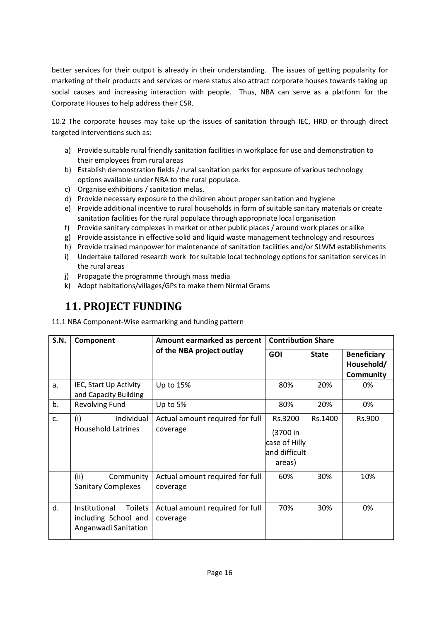better services for their output is already in their understanding. The issues of getting popularity for marketing of their products and services or mere status also attract corporate houses towards taking up social causes and increasing interaction with people. Thus, NBA can serve as a platform for the Corporate Houses to help address their CSR.

10.2 The corporate houses may take up the issues of sanitation through IEC, HRD or through direct targeted interventions such as:

- a) Provide suitable rural friendly sanitation facilities in workplace for use and demonstration to their employees from rural areas
- b) Establish demonstration fields / rural sanitation parks for exposure of various technology options available under NBA to the rural populace.
- c) Organise exhibitions / sanitation melas.
- d) Provide necessary exposure to the children about proper sanitation and hygiene
- e) Provide additional incentive to rural households in form of suitable sanitary materials or create sanitation facilities for the rural populace through appropriate local organisation
- f) Provide sanitary complexes in market or other public places / around work places or alike
- g) Provide assistance in effective solid and liquid waste management technology and resources
- h) Provide trained manpower for maintenance of sanitation facilities and/or SLWM establishments
- i) Undertake tailored research work for suitable local technology options for sanitation services in the rural areas
- j) Propagate the programme through mass media
- k) Adopt habitations/villages/GPs to make them Nirmal Grams

## **11. PROJECT FUNDING**

11.1 NBA Component-Wise earmarking and funding pattern

| <b>S.N.</b> | Component                                                                       | Amount earmarked as percent                 | <b>Contribution Share</b>                                       |              |                                               |
|-------------|---------------------------------------------------------------------------------|---------------------------------------------|-----------------------------------------------------------------|--------------|-----------------------------------------------|
|             |                                                                                 | of the NBA project outlay                   | <b>GOI</b>                                                      | <b>State</b> | <b>Beneficiary</b><br>Household/<br>Community |
| a.          | IEC, Start Up Activity<br>and Capacity Building                                 | Up to 15%                                   | 80%                                                             | 20%          | 0%                                            |
| b.          | Revolving Fund                                                                  | Up to 5%                                    | 80%                                                             | 20%          | 0%                                            |
| c.          | (i)<br>Individual<br><b>Household Latrines</b>                                  | Actual amount required for full<br>coverage | Rs.3200<br>(3700 in<br>case of Hilly<br>and difficult<br>areas) | Rs.1400      | Rs.900                                        |
|             | (ii)<br>Community<br><b>Sanitary Complexes</b>                                  | Actual amount required for full<br>coverage | 60%                                                             | 30%          | 10%                                           |
| d.          | <b>Toilets</b><br>Institutional<br>including School and<br>Anganwadi Sanitation | Actual amount required for full<br>coverage | 70%                                                             | 30%          | 0%                                            |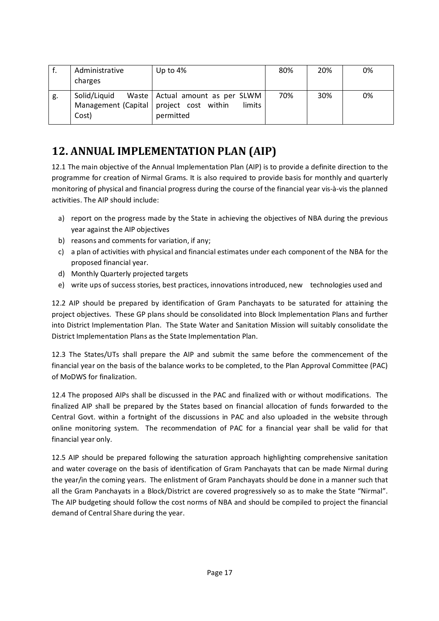|    | Administrative<br>charges                                          | Up to 4%                                                 | 80% | 20% | 0% |
|----|--------------------------------------------------------------------|----------------------------------------------------------|-----|-----|----|
| g. | Solid/Liquid<br>Management (Capital   project cost within<br>Cost) | Waste   Actual amount as per SLWM<br>limits<br>permitted | 70% | 30% | 0% |

### **12. ANNUAL IMPLEMENTATION PLAN (AIP)**

12.1 The main objective of the Annual Implementation Plan (AIP) is to provide a definite direction to the programme for creation of Nirmal Grams. It is also required to provide basis for monthly and quarterly monitoring of physical and financial progress during the course of the financial year vis-à-vis the planned activities. The AIP should include:

- a) report on the progress made by the State in achieving the objectives of NBA during the previous year against the AIP objectives
- b) reasons and comments for variation, if any;
- c) a plan of activities with physical and financial estimates under each component of the NBA for the proposed financial year.
- d) Monthly Quarterly projected targets
- e) write ups of success stories, best practices, innovations introduced, new technologies used and

12.2 AIP should be prepared by identification of Gram Panchayats to be saturated for attaining the project objectives. These GP plans should be consolidated into Block Implementation Plans and further into District Implementation Plan. The State Water and Sanitation Mission will suitably consolidate the District Implementation Plans as the State Implementation Plan.

12.3 The States/UTs shall prepare the AIP and submit the same before the commencement of the financial year on the basis of the balance works to be completed, to the Plan Approval Committee (PAC) of MoDWS for finalization.

12.4 The proposed AIPs shall be discussed in the PAC and finalized with or without modifications. The finalized AIP shall be prepared by the States based on financial allocation of funds forwarded to the Central Govt. within a fortnight of the discussions in PAC and also uploaded in the website through online monitoring system. The recommendation of PAC for a financial year shall be valid for that financial year only.

12.5 AIP should be prepared following the saturation approach highlighting comprehensive sanitation and water coverage on the basis of identification of Gram Panchayats that can be made Nirmal during the year/in the coming years. The enlistment of Gram Panchayats should be done in a manner such that all the Gram Panchayats in a Block/District are covered progressively so as to make the State "Nirmal". The AIP budgeting should follow the cost norms of NBA and should be compiled to project the financial demand of Central Share during the year.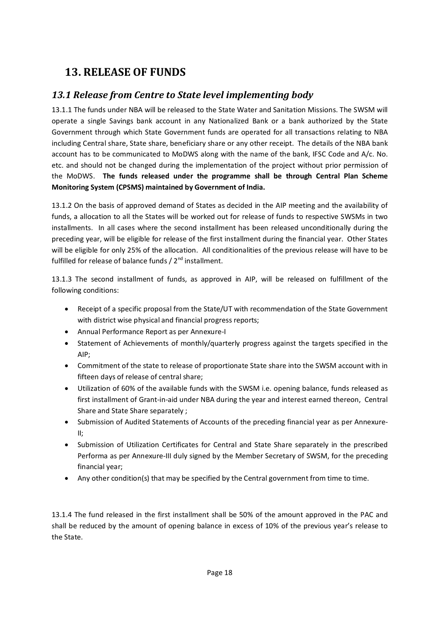### **13. RELEASE OF FUNDS**

### *13.1 Release from Centre to State level implementing body*

13.1.1 The funds under NBA will be released to the State Water and Sanitation Missions. The SWSM will operate a single Savings bank account in any Nationalized Bank or a bank authorized by the State Government through which State Government funds are operated for all transactions relating to NBA including Central share, State share, beneficiary share or any other receipt. The details of the NBA bank account has to be communicated to MoDWS along with the name of the bank, IFSC Code and A/c. No. etc. and should not be changed during the implementation of the project without prior permission of the MoDWS. **The funds released under the programme shall be through Central Plan Scheme Monitoring System (CPSMS) maintained by Government of India.**

13.1.2 On the basis of approved demand of States as decided in the AIP meeting and the availability of funds, a allocation to all the States will be worked out for release of funds to respective SWSMs in two installments. In all cases where the second installment has been released unconditionally during the preceding year, will be eligible for release of the first installment during the financial year. Other States will be eligible for only 25% of the allocation. All conditionalities of the previous release will have to be fulfilled for release of balance funds  $/ 2^{nd}$  installment.

13.1.3 The second installment of funds, as approved in AIP, will be released on fulfillment of the following conditions:

- Receipt of a specific proposal from the State/UT with recommendation of the State Government with district wise physical and financial progress reports;
- Annual Performance Report as per Annexure-I
- Statement of Achievements of monthly/quarterly progress against the targets specified in the AIP;
- Commitment of the state to release of proportionate State share into the SWSM account with in fifteen days of release of central share;
- Utilization of 60% of the available funds with the SWSM i.e. opening balance, funds released as first installment of Grant-in-aid under NBA during the year and interest earned thereon, Central Share and State Share separately ;
- Submission of Audited Statements of Accounts of the preceding financial year as per Annexure-II;
- Submission of Utilization Certificates for Central and State Share separately in the prescribed Performa as per Annexure-III duly signed by the Member Secretary of SWSM, for the preceding financial year;
- Any other condition(s) that may be specified by the Central government from time to time.

13.1.4 The fund released in the first installment shall be 50% of the amount approved in the PAC and shall be reduced by the amount of opening balance in excess of 10% of the previous year's release to the State.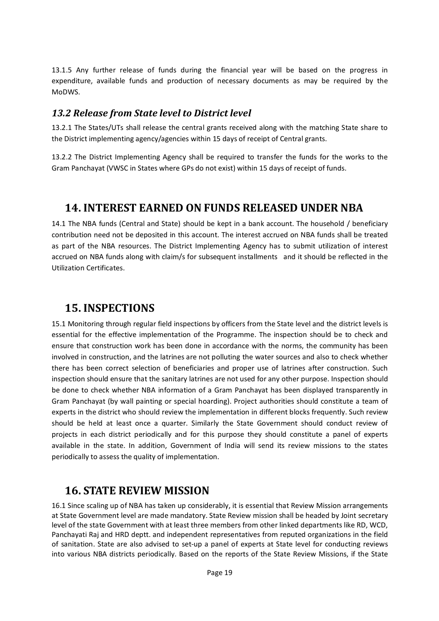13.1.5 Any further release of funds during the financial year will be based on the progress in expenditure, available funds and production of necessary documents as may be required by the MoDWS.

#### *13.2 Release from State level to District level*

13.2.1 The States/UTs shall release the central grants received along with the matching State share to the District implementing agency/agencies within 15 days of receipt of Central grants.

13.2.2 The District Implementing Agency shall be required to transfer the funds for the works to the Gram Panchayat (VWSC in States where GPs do not exist) within 15 days of receipt of funds.

### **14. INTEREST EARNED ON FUNDS RELEASED UNDER NBA**

14.1 The NBA funds (Central and State) should be kept in a bank account. The household / beneficiary contribution need not be deposited in this account. The interest accrued on NBA funds shall be treated as part of the NBA resources. The District Implementing Agency has to submit utilization of interest accrued on NBA funds along with claim/s for subsequent installments and it should be reflected in the Utilization Certificates.

### **15. INSPECTIONS**

15.1 Monitoring through regular field inspections by officers from the State level and the district levels is essential for the effective implementation of the Programme. The inspection should be to check and ensure that construction work has been done in accordance with the norms, the community has been involved in construction, and the latrines are not polluting the water sources and also to check whether there has been correct selection of beneficiaries and proper use of latrines after construction. Such inspection should ensure that the sanitary latrines are not used for any other purpose. Inspection should be done to check whether NBA information of a Gram Panchayat has been displayed transparently in Gram Panchayat (by wall painting or special hoarding). Project authorities should constitute a team of experts in the district who should review the implementation in different blocks frequently. Such review should be held at least once a quarter. Similarly the State Government should conduct review of projects in each district periodically and for this purpose they should constitute a panel of experts available in the state. In addition, Government of India will send its review missions to the states periodically to assess the quality of implementation.

### **16. STATE REVIEW MISSION**

16.1 Since scaling up of NBA has taken up considerably, it is essential that Review Mission arrangements at State Government level are made mandatory. State Review mission shall be headed by Joint secretary level of the state Government with at least three members from other linked departments like RD, WCD, Panchayati Raj and HRD deptt. and independent representatives from reputed organizations in the field of sanitation. State are also advised to set-up a panel of experts at State level for conducting reviews into various NBA districts periodically. Based on the reports of the State Review Missions, if the State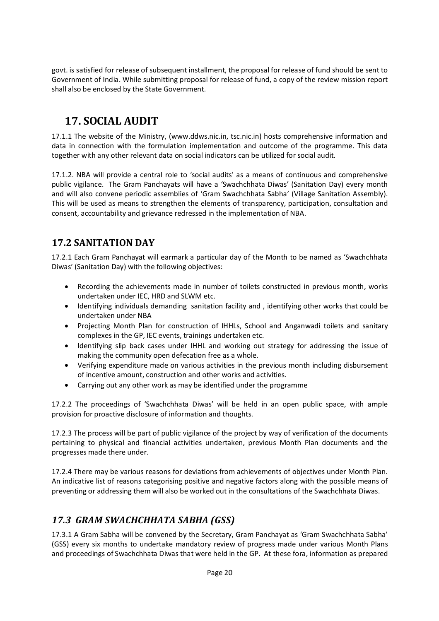govt. is satisfied for release of subsequent installment, the proposal for release of fund should be sent to Government of India. While submitting proposal for release of fund, a copy of the review mission report shall also be enclosed by the State Government.

### **17. SOCIAL AUDIT**

17.1.1 The website of the Ministry, (www.ddws.nic.in, tsc.nic.in) hosts comprehensive information and data in connection with the formulation implementation and outcome of the programme. This data together with any other relevant data on social indicators can be utilized for social audit.

17.1.2. NBA will provide a central role to 'social audits' as a means of continuous and comprehensive public vigilance. The Gram Panchayats will have a 'Swachchhata Diwas' (Sanitation Day) every month and will also convene periodic assemblies of 'Gram Swachchhata Sabha' (Village Sanitation Assembly). This will be used as means to strengthen the elements of transparency, participation, consultation and consent, accountability and grievance redressed in the implementation of NBA.

#### **17.2 SANITATION DAY**

17.2.1 Each Gram Panchayat will earmark a particular day of the Month to be named as 'Swachchhata Diwas' (Sanitation Day) with the following objectives:

- Recording the achievements made in number of toilets constructed in previous month, works undertaken under IEC, HRD and SLWM etc.
- Identifying individuals demanding sanitation facility and , identifying other works that could be undertaken under NBA
- Projecting Month Plan for construction of IHHLs, School and Anganwadi toilets and sanitary complexes in the GP, IEC events, trainings undertaken etc.
- Identifying slip back cases under IHHL and working out strategy for addressing the issue of making the community open defecation free as a whole.
- Verifying expenditure made on various activities in the previous month including disbursement of incentive amount, construction and other works and activities.
- Carrying out any other work as may be identified under the programme

17.2.2 The proceedings of 'Swachchhata Diwas' will be held in an open public space, with ample provision for proactive disclosure of information and thoughts.

17.2.3 The process will be part of public vigilance of the project by way of verification of the documents pertaining to physical and financial activities undertaken, previous Month Plan documents and the progresses made there under.

17.2.4 There may be various reasons for deviations from achievements of objectives under Month Plan. An indicative list of reasons categorising positive and negative factors along with the possible means of preventing or addressing them will also be worked out in the consultations of the Swachchhata Diwas.

### *17.3 GRAM SWACHCHHATA SABHA (GSS)*

17.3.1 A Gram Sabha will be convened by the Secretary, Gram Panchayat as 'Gram Swachchhata Sabha' (GSS) every six months to undertake mandatory review of progress made under various Month Plans and proceedings of Swachchhata Diwas that were held in the GP. At these fora, information as prepared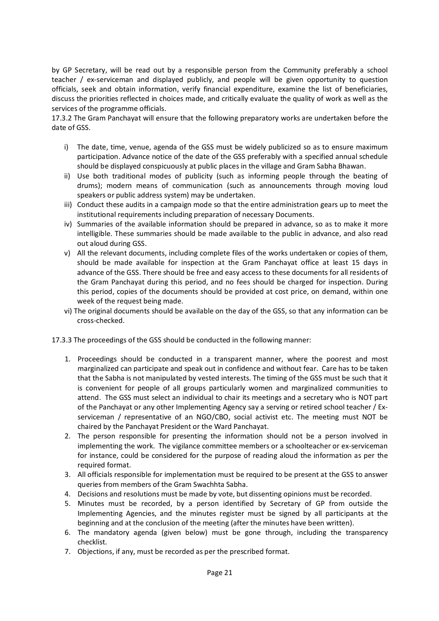by GP Secretary, will be read out by a responsible person from the Community preferably a school teacher / ex-serviceman and displayed publicly, and people will be given opportunity to question officials, seek and obtain information, verify financial expenditure, examine the list of beneficiaries, discuss the priorities reflected in choices made, and critically evaluate the quality of work as well as the services of the programme officials.

17.3.2 The Gram Panchayat will ensure that the following preparatory works are undertaken before the date of GSS.

- i) The date, time, venue, agenda of the GSS must be widely publicized so as to ensure maximum participation. Advance notice of the date of the GSS preferably with a specified annual schedule should be displayed conspicuously at public places in the village and Gram Sabha Bhawan.
- ii) Use both traditional modes of publicity (such as informing people through the beating of drums); modern means of communication (such as announcements through moving loud speakers or public address system) may be undertaken.
- iii) Conduct these audits in a campaign mode so that the entire administration gears up to meet the institutional requirements including preparation of necessary Documents.
- iv) Summaries of the available information should be prepared in advance, so as to make it more intelligible. These summaries should be made available to the public in advance, and also read out aloud during GSS.
- v) All the relevant documents, including complete files of the works undertaken or copies of them, should be made available for inspection at the Gram Panchayat office at least 15 days in advance of the GSS. There should be free and easy access to these documents for all residents of the Gram Panchayat during this period, and no fees should be charged for inspection. During this period, copies of the documents should be provided at cost price, on demand, within one week of the request being made.
- vi) The original documents should be available on the day of the GSS, so that any information can be cross-checked.

17.3.3 The proceedings of the GSS should be conducted in the following manner:

- 1. Proceedings should be conducted in a transparent manner, where the poorest and most marginalized can participate and speak out in confidence and without fear. Care has to be taken that the Sabha is not manipulated by vested interests. The timing of the GSS must be such that it is convenient for people of all groups particularly women and marginalized communities to attend. The GSS must select an individual to chair its meetings and a secretary who is NOT part of the Panchayat or any other Implementing Agency say a serving or retired school teacher / Exserviceman / representative of an NGO/CBO, social activist etc. The meeting must NOT be chaired by the Panchayat President or the Ward Panchayat.
- 2. The person responsible for presenting the information should not be a person involved in implementing the work. The vigilance committee members or a schoolteacher or ex-serviceman for instance, could be considered for the purpose of reading aloud the information as per the required format.
- 3. All officials responsible for implementation must be required to be present at the GSS to answer queries from members of the Gram Swachhta Sabha.
- 4. Decisions and resolutions must be made by vote, but dissenting opinions must be recorded.
- 5. Minutes must be recorded, by a person identified by Secretary of GP from outside the Implementing Agencies, and the minutes register must be signed by all participants at the beginning and at the conclusion of the meeting (after the minutes have been written).
- 6. The mandatory agenda (given below) must be gone through, including the transparency checklist.
- 7. Objections, if any, must be recorded as per the prescribed format.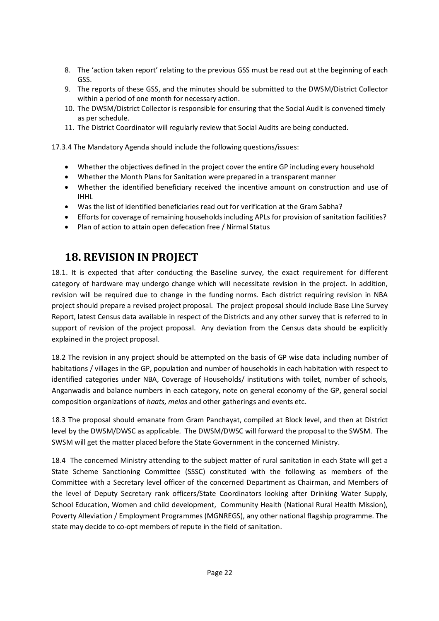- 8. The 'action taken report' relating to the previous GSS must be read out at the beginning of each GSS.
- 9. The reports of these GSS, and the minutes should be submitted to the DWSM/District Collector within a period of one month for necessary action.
- 10. The DWSM/District Collector is responsible for ensuring that the Social Audit is convened timely as per schedule.
- 11. The District Coordinator will regularly review that Social Audits are being conducted.

17.3.4 The Mandatory Agenda should include the following questions/issues:

- Whether the objectives defined in the project cover the entire GP including every household
- Whether the Month Plans for Sanitation were prepared in a transparent manner
- Whether the identified beneficiary received the incentive amount on construction and use of IHHL
- Was the list of identified beneficiaries read out for verification at the Gram Sabha?
- Efforts for coverage of remaining households including APLs for provision of sanitation facilities?
- Plan of action to attain open defecation free / Nirmal Status

### **18. REVISION IN PROJECT**

18.1. It is expected that after conducting the Baseline survey, the exact requirement for different category of hardware may undergo change which will necessitate revision in the project. In addition, revision will be required due to change in the funding norms. Each district requiring revision in NBA project should prepare a revised project proposal. The project proposal should include Base Line Survey Report, latest Census data available in respect of the Districts and any other survey that is referred to in support of revision of the project proposal. Any deviation from the Census data should be explicitly explained in the project proposal.

18.2 The revision in any project should be attempted on the basis of GP wise data including number of habitations / villages in the GP, population and number of households in each habitation with respect to identified categories under NBA, Coverage of Households/ institutions with toilet, number of schools, Anganwadis and balance numbers in each category, note on general economy of the GP, general social composition organizations of *haats, melas* and other gatherings and events etc.

18.3 The proposal should emanate from Gram Panchayat, compiled at Block level, and then at District level by the DWSM/DWSC as applicable. The DWSM/DWSC will forward the proposal to the SWSM. The SWSM will get the matter placed before the State Government in the concerned Ministry.

18.4 The concerned Ministry attending to the subject matter of rural sanitation in each State will get a State Scheme Sanctioning Committee (SSSC) constituted with the following as members of the Committee with a Secretary level officer of the concerned Department as Chairman, and Members of the level of Deputy Secretary rank officers/State Coordinators looking after Drinking Water Supply, School Education, Women and child development, Community Health (National Rural Health Mission), Poverty Alleviation / Employment Programmes (MGNREGS), any other national flagship programme. The state may decide to co-opt members of repute in the field of sanitation.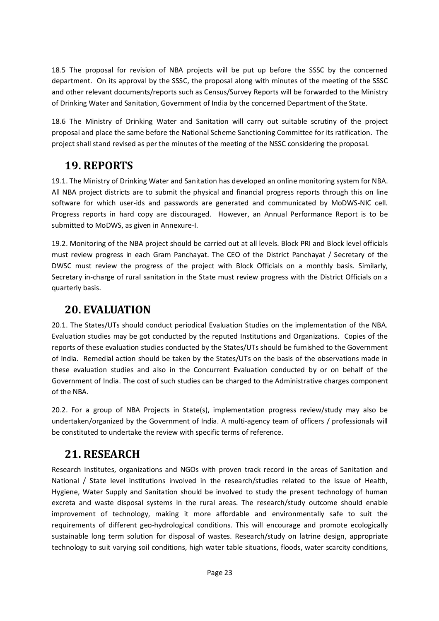18.5 The proposal for revision of NBA projects will be put up before the SSSC by the concerned department. On its approval by the SSSC, the proposal along with minutes of the meeting of the SSSC and other relevant documents/reports such as Census/Survey Reports will be forwarded to the Ministry of Drinking Water and Sanitation, Government of India by the concerned Department of the State.

18.6 The Ministry of Drinking Water and Sanitation will carry out suitable scrutiny of the project proposal and place the same before the National Scheme Sanctioning Committee for its ratification. The project shall stand revised as per the minutes of the meeting of the NSSC considering the proposal.

### **19. REPORTS**

19.1. The Ministry of Drinking Water and Sanitation has developed an online monitoring system for NBA. All NBA project districts are to submit the physical and financial progress reports through this on line software for which user-ids and passwords are generated and communicated by MoDWS-NIC cell. Progress reports in hard copy are discouraged. However, an Annual Performance Report is to be submitted to MoDWS, as given in Annexure-I.

19.2. Monitoring of the NBA project should be carried out at all levels. Block PRI and Block level officials must review progress in each Gram Panchayat. The CEO of the District Panchayat / Secretary of the DWSC must review the progress of the project with Block Officials on a monthly basis. Similarly, Secretary in-charge of rural sanitation in the State must review progress with the District Officials on a quarterly basis.

### **20. EVALUATION**

20.1. The States/UTs should conduct periodical Evaluation Studies on the implementation of the NBA. Evaluation studies may be got conducted by the reputed Institutions and Organizations. Copies of the reports of these evaluation studies conducted by the States/UTs should be furnished to the Government of India. Remedial action should be taken by the States/UTs on the basis of the observations made in these evaluation studies and also in the Concurrent Evaluation conducted by or on behalf of the Government of India. The cost of such studies can be charged to the Administrative charges component of the NBA.

20.2. For a group of NBA Projects in State(s), implementation progress review/study may also be undertaken/organized by the Government of India. A multi-agency team of officers / professionals will be constituted to undertake the review with specific terms of reference.

### **21. RESEARCH**

Research Institutes, organizations and NGOs with proven track record in the areas of Sanitation and National / State level institutions involved in the research/studies related to the issue of Health, Hygiene, Water Supply and Sanitation should be involved to study the present technology of human excreta and waste disposal systems in the rural areas. The research/study outcome should enable improvement of technology, making it more affordable and environmentally safe to suit the requirements of different geo-hydrological conditions. This will encourage and promote ecologically sustainable long term solution for disposal of wastes. Research/study on latrine design, appropriate technology to suit varying soil conditions, high water table situations, floods, water scarcity conditions,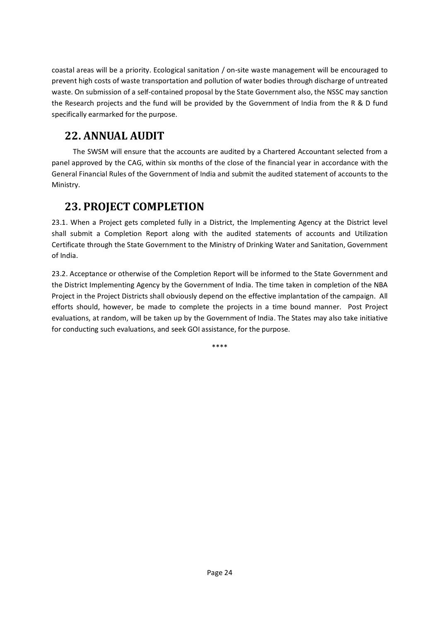coastal areas will be a priority. Ecological sanitation / on-site waste management will be encouraged to prevent high costs of waste transportation and pollution of water bodies through discharge of untreated waste. On submission of a self-contained proposal by the State Government also, the NSSC may sanction the Research projects and the fund will be provided by the Government of India from the R & D fund specifically earmarked for the purpose.

### **22. ANNUAL AUDIT**

 The SWSM will ensure that the accounts are audited by a Chartered Accountant selected from a panel approved by the CAG, within six months of the close of the financial year in accordance with the General Financial Rules of the Government of India and submit the audited statement of accounts to the Ministry.

### **23. PROJECT COMPLETION**

23.1. When a Project gets completed fully in a District, the Implementing Agency at the District level shall submit a Completion Report along with the audited statements of accounts and Utilization Certificate through the State Government to the Ministry of Drinking Water and Sanitation, Government of India.

23.2. Acceptance or otherwise of the Completion Report will be informed to the State Government and the District Implementing Agency by the Government of India. The time taken in completion of the NBA Project in the Project Districts shall obviously depend on the effective implantation of the campaign. All efforts should, however, be made to complete the projects in a time bound manner. Post Project evaluations, at random, will be taken up by the Government of India. The States may also take initiative for conducting such evaluations, and seek GOI assistance, for the purpose.

\*\*\*\*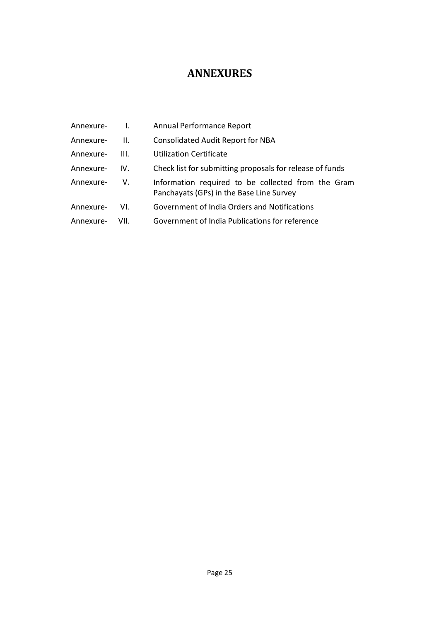### **ANNEXURES**

| Annexure- | $\mathbf{I}$ . | Annual Performance Report                                                                      |
|-----------|----------------|------------------------------------------------------------------------------------------------|
| Annexure- | Ш.             | <b>Consolidated Audit Report for NBA</b>                                                       |
| Annexure- | III.           | <b>Utilization Certificate</b>                                                                 |
| Annexure- | IV.            | Check list for submitting proposals for release of funds                                       |
| Annexure- | V.             | Information required to be collected from the Gram<br>Panchayats (GPs) in the Base Line Survey |
| Annexure- | VI.            | Government of India Orders and Notifications                                                   |
| Annexure- | VII.           | Government of India Publications for reference                                                 |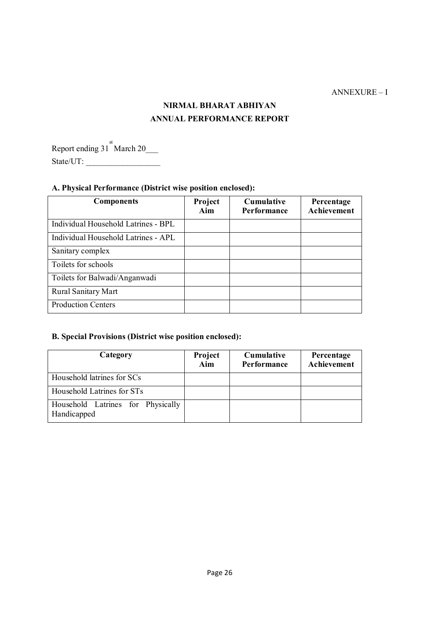#### ANNEXURE – I

### **NIRMAL BHARAT ABHIYAN ANNUAL PERFORMANCE REPORT**

Report ending  $31^{st}$  March 20\_\_\_\_ State/UT: \_\_\_\_\_\_\_\_\_\_\_\_\_\_\_\_\_\_

#### **A. Physical Performance (District wise position enclosed):**

| <b>Components</b>                   | Project<br>Aim | <b>Cumulative</b><br><b>Performance</b> | Percentage<br><b>Achievement</b> |
|-------------------------------------|----------------|-----------------------------------------|----------------------------------|
| Individual Household Latrines - BPL |                |                                         |                                  |
| Individual Household Latrines - APL |                |                                         |                                  |
| Sanitary complex                    |                |                                         |                                  |
| Toilets for schools                 |                |                                         |                                  |
| Toilets for Balwadi/Anganwadi       |                |                                         |                                  |
| <b>Rural Sanitary Mart</b>          |                |                                         |                                  |
| <b>Production Centers</b>           |                |                                         |                                  |

#### **B. Special Provisions (District wise position enclosed):**

| Category                                         | Project<br>Aim | <b>Cumulative</b><br>Performance | Percentage<br>Achievement |
|--------------------------------------------------|----------------|----------------------------------|---------------------------|
| Household latrines for SCs                       |                |                                  |                           |
| Household Latrines for STs                       |                |                                  |                           |
| Household Latrines for Physically<br>Handicapped |                |                                  |                           |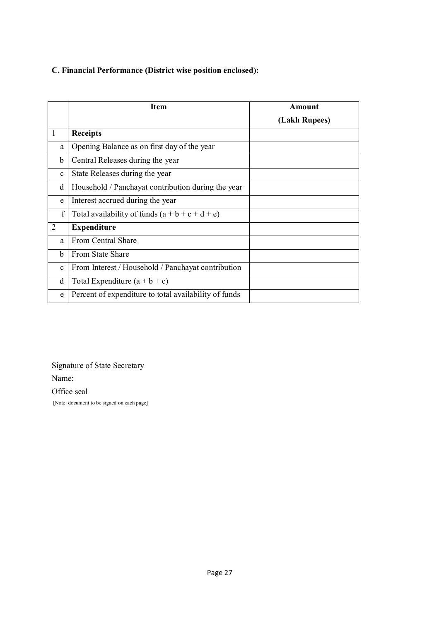#### **C. Financial Performance (District wise position enclosed):**

|                | <b>Item</b>                                           | Amount        |
|----------------|-------------------------------------------------------|---------------|
|                |                                                       | (Lakh Rupees) |
| $\mathbf{1}$   | <b>Receipts</b>                                       |               |
| a              | Opening Balance as on first day of the year           |               |
| b              | Central Releases during the year                      |               |
| $\mathbf c$    | State Releases during the year                        |               |
| d              | Household / Panchayat contribution during the year    |               |
| e              | Interest accrued during the year                      |               |
| f              | Total availability of funds $(a + b + c + d + e)$     |               |
| $\overline{2}$ | <b>Expenditure</b>                                    |               |
| a              | <b>From Central Share</b>                             |               |
| b              | <b>From State Share</b>                               |               |
| $\mathbf c$    | From Interest / Household / Panchayat contribution    |               |
| d              | Total Expenditure $(a + b + c)$                       |               |
| e              | Percent of expenditure to total availability of funds |               |

Signature of State Secretary

Name:

Office seal

[Note: document to be signed on each page]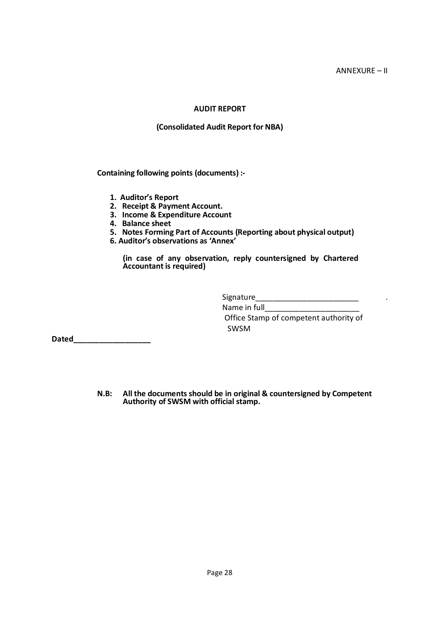#### **AUDIT REPORT**

#### **(Consolidated Audit Report for NBA)**

**Containing following points (documents) :-**

- **1. Auditor's Report**
- **2. Receipt & Payment Account.**
- **3. Income & Expenditure Account**
- **4. Balance sheet**
- **5. Notes Forming Part of Accounts (Reporting about physical output)**
- **6. Auditor's observations as 'Annex'**

**(in case of any observation, reply countersigned by Chartered Accountant is required)** 

SWSM

Signature\_\_\_\_\_\_\_\_\_\_\_\_\_\_\_\_\_\_\_\_\_\_\_\_ . Name in full Office Stamp of competent authority of

**Dated\_\_\_\_\_\_\_\_\_\_\_\_\_\_\_\_\_\_**

**N.B: All the documents should be in original & countersigned by Competent Authority of SWSM with official stamp.**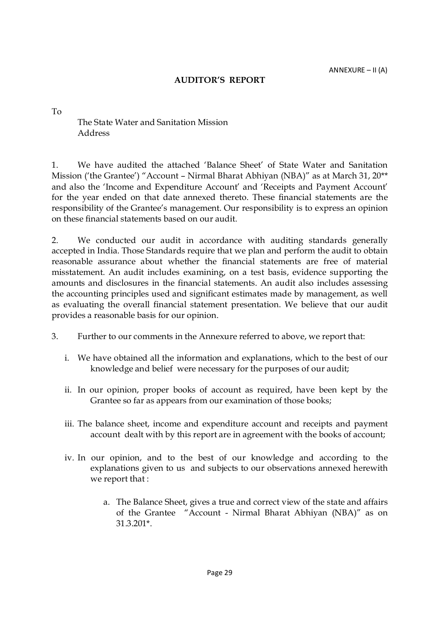#### **AUDITOR'S REPORT**

To

The State Water and Sanitation Mission Address

1. We have audited the attached 'Balance Sheet' of State Water and Sanitation Mission ('the Grantee') "Account – Nirmal Bharat Abhiyan (NBA)" as at March 31, 20\*\* and also the 'Income and Expenditure Account' and 'Receipts and Payment Account' for the year ended on that date annexed thereto. These financial statements are the responsibility of the Grantee's management. Our responsibility is to express an opinion on these financial statements based on our audit.

2. We conducted our audit in accordance with auditing standards generally accepted in India. Those Standards require that we plan and perform the audit to obtain reasonable assurance about whether the financial statements are free of material misstatement. An audit includes examining, on a test basis, evidence supporting the amounts and disclosures in the financial statements. An audit also includes assessing the accounting principles used and significant estimates made by management, as well as evaluating the overall financial statement presentation. We believe that our audit provides a reasonable basis for our opinion.

- 3. Further to our comments in the Annexure referred to above, we report that:
	- i. We have obtained all the information and explanations, which to the best of our knowledge and belief were necessary for the purposes of our audit;
	- ii. In our opinion, proper books of account as required, have been kept by the Grantee so far as appears from our examination of those books;
	- iii. The balance sheet, income and expenditure account and receipts and payment account dealt with by this report are in agreement with the books of account;
	- iv. In our opinion, and to the best of our knowledge and according to the explanations given to us and subjects to our observations annexed herewith we report that :
		- a. The Balance Sheet, gives a true and correct view of the state and affairs of the Grantee "Account - Nirmal Bharat Abhiyan (NBA)" as on 31.3.201\*.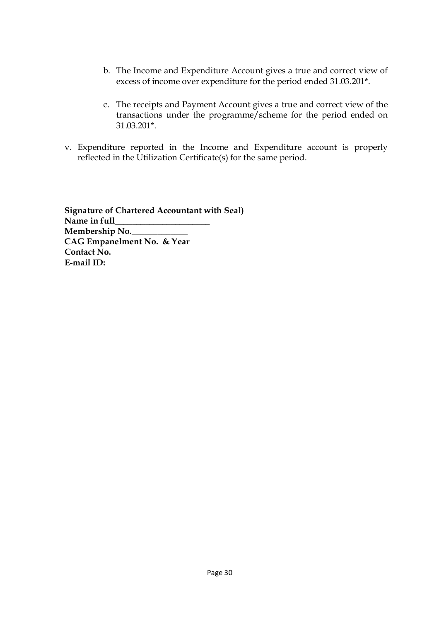- b. The Income and Expenditure Account gives a true and correct view of excess of income over expenditure for the period ended 31.03.201\*.
- c. The receipts and Payment Account gives a true and correct view of the transactions under the programme/scheme for the period ended on 31.03.201\*.
- v. Expenditure reported in the Income and Expenditure account is properly reflected in the Utilization Certificate(s) for the same period.

 **Signature of Chartered Accountant with Seal) Name in full\_\_\_\_\_\_\_\_\_\_\_\_\_\_\_\_\_\_\_\_\_\_ Membership No.\_\_\_\_\_\_\_\_\_\_\_\_\_ CAG Empanelment No. & Year Contact No. E-mail ID:**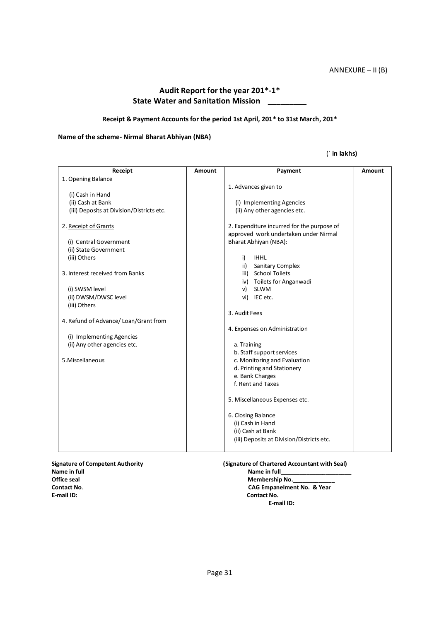#### **Audit Report for the year 201\*-1\* State Water and Sanitation Mission \_\_\_\_\_\_\_\_\_**

#### **Receipt & Payment Accounts for the period 1st April, 201\* to 31st March, 201\***

#### **Name of the scheme- Nirmal Bharat Abhiyan (NBA)**

#### (` **in lakhs)**

| Receipt                                   | Amount | Payment                                    | Amount |
|-------------------------------------------|--------|--------------------------------------------|--------|
| 1. Opening Balance                        |        |                                            |        |
|                                           |        | 1. Advances given to                       |        |
| (i) Cash in Hand                          |        |                                            |        |
| (ii) Cash at Bank                         |        | (i) Implementing Agencies                  |        |
| (iii) Deposits at Division/Districts etc. |        | (ii) Any other agencies etc.               |        |
|                                           |        |                                            |        |
| 2. Receipt of Grants                      |        | 2. Expenditure incurred for the purpose of |        |
|                                           |        | approved work undertaken under Nirmal      |        |
| (i) Central Government                    |        | Bharat Abhiyan (NBA):                      |        |
| (ii) State Government                     |        |                                            |        |
| (iii) Others                              |        | <b>IHHL</b><br>i)                          |        |
|                                           |        | ii)<br>Sanitary Complex                    |        |
| 3. Interest received from Banks           |        | <b>School Toilets</b><br>iii)              |        |
|                                           |        | Toilets for Anganwadi<br>iv)               |        |
| (i) SWSM level                            |        | <b>SLWM</b><br>v)                          |        |
| (ii) DWSM/DWSC level                      |        | vi) IEC etc.                               |        |
| (iii) Others                              |        |                                            |        |
|                                           |        | 3. Audit Fees                              |        |
| 4. Refund of Advance/Loan/Grant from      |        |                                            |        |
| (i) Implementing Agencies                 |        | 4. Expenses on Administration              |        |
| (ii) Any other agencies etc.              |        | a. Training                                |        |
|                                           |        | b. Staff support services                  |        |
| 5.Miscellaneous                           |        | c. Monitoring and Evaluation               |        |
|                                           |        | d. Printing and Stationery                 |        |
|                                           |        | e. Bank Charges                            |        |
|                                           |        | f. Rent and Taxes                          |        |
|                                           |        |                                            |        |
|                                           |        | 5. Miscellaneous Expenses etc.             |        |
|                                           |        |                                            |        |
|                                           |        | 6. Closing Balance                         |        |
|                                           |        | (i) Cash in Hand                           |        |
|                                           |        | (ii) Cash at Bank                          |        |
|                                           |        | (iii) Deposits at Division/Districts etc.  |        |
|                                           |        |                                            |        |

**Signature of Competent Authority** (Signature of Chartered Accountant with Seal)<br>Name in full **Name in full** Name in full **Name in full contained a set of the UP** of Table 2 Name in full **Name in full** of the Name in full of the Name in full and the Name in full and the Name in full and the Name in full and the Name in full and t Office seal **Membership No.**<br>
Contact No. **CAG Empanelment Contact No**. **CAG Empanelment No. & Year** 

**Contact No. E-mail ID:**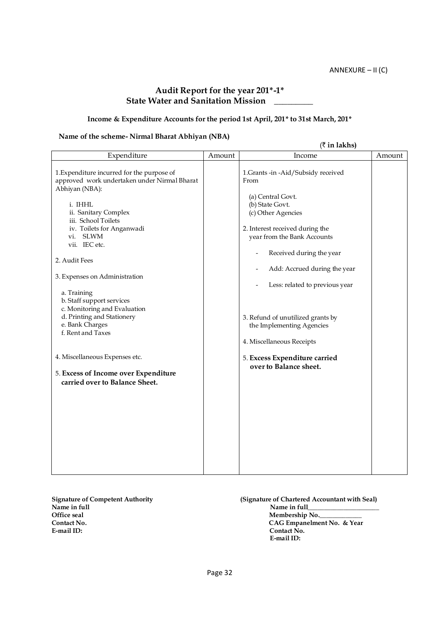#### **Audit Report for the year 201\*-1\* State Water and Sanitation Mission \_\_\_\_\_\_\_\_\_**

#### **Income & Expenditure Accounts for the period 1st April, 201\* to 31st March, 201\***

#### **Name of the scheme- Nirmal Bharat Abhiyan (NBA)**

|                                                                                                                                                                                                                                                                                                                                                                                                                                      |        | $(\bar{\tau}$ in lakhs)                                                                                                                                                                                                                                                                                                                                                            |        |
|--------------------------------------------------------------------------------------------------------------------------------------------------------------------------------------------------------------------------------------------------------------------------------------------------------------------------------------------------------------------------------------------------------------------------------------|--------|------------------------------------------------------------------------------------------------------------------------------------------------------------------------------------------------------------------------------------------------------------------------------------------------------------------------------------------------------------------------------------|--------|
| Expenditure                                                                                                                                                                                                                                                                                                                                                                                                                          | Amount | Income                                                                                                                                                                                                                                                                                                                                                                             | Amount |
| 1. Expenditure incurred for the purpose of<br>approved work undertaken under Nirmal Bharat<br>Abhiyan (NBA):<br>i. IHHL<br>ii. Sanitary Complex<br>iii. School Toilets<br>iv. Toilets for Anganwadi<br>vi. SLWM<br>vii. IEC etc.<br>2. Audit Fees<br>3. Expenses on Administration<br>a. Training<br>b. Staff support services<br>c. Monitoring and Evaluation<br>d. Printing and Stationery<br>e. Bank Charges<br>f. Rent and Taxes |        | 1. Grants -in -Aid/Subsidy received<br>From<br>(a) Central Govt.<br>(b) State Govt.<br>(c) Other Agencies<br>2. Interest received during the<br>year from the Bank Accounts<br>Received during the year<br>-<br>Add: Accrued during the year<br>-<br>Less: related to previous year<br>3. Refund of unutilized grants by<br>the Implementing Agencies<br>4. Miscellaneous Receipts |        |
| 4. Miscellaneous Expenses etc.<br>5. Excess of Income over Expenditure<br>carried over to Balance Sheet.                                                                                                                                                                                                                                                                                                                             |        | 5. Excess Expenditure carried<br>over to Balance sheet.                                                                                                                                                                                                                                                                                                                            |        |

Signature of Competent Authority **(Signature of Chartered Accountant with Seal)**<br>Name in full **Name** in full Name in full **Name in full**<br>Office seal **Name in full** Office seal Membership No.<br>
Contact No. CAG Empanelmen **Contact No. CAG Empanelment No. & Year** 

**Contact No. E-mail ID:**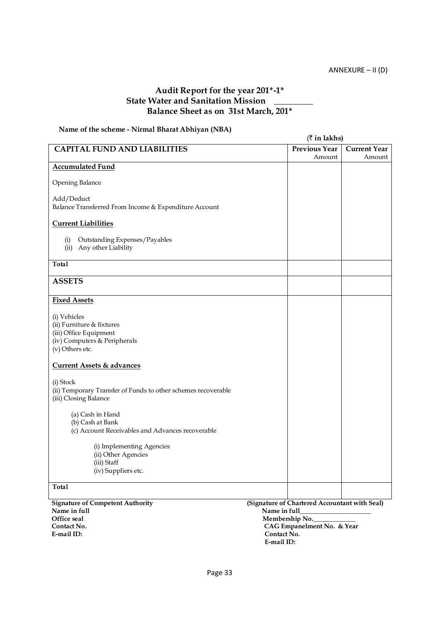#### **Audit Report for the year 201\*-1\* State Water and Sanitation Mission \_\_\_\_\_\_\_\_\_ Balance Sheet as on 31st March, 201\***

#### **Name of the scheme - Nirmal Bharat Abhiyan (NBA)**

|                                                                                                                        | $($ ₹ in lakhs)      |                     |
|------------------------------------------------------------------------------------------------------------------------|----------------------|---------------------|
| <b>CAPITAL FUND AND LIABILITIES</b>                                                                                    | <b>Previous Year</b> | <b>Current Year</b> |
|                                                                                                                        | Amount               | Amount              |
| <b>Accumulated Fund</b>                                                                                                |                      |                     |
| Opening Balance                                                                                                        |                      |                     |
| Add/Deduct<br>Balance Transferred From Income & Expenditure Account                                                    |                      |                     |
| <b>Current Liabilities</b>                                                                                             |                      |                     |
| Outstanding Expenses/Payables<br>(i)<br>Any other Liability<br>(ii)                                                    |                      |                     |
| Total                                                                                                                  |                      |                     |
| <b>ASSETS</b>                                                                                                          |                      |                     |
| <b>Fixed Assets</b>                                                                                                    |                      |                     |
| (i) Vehicles<br>(ii) Furniture & fixtures<br>(iii) Office Equipment<br>(iv) Computers & Peripherals<br>(v) Others etc. |                      |                     |
| <b>Current Assets &amp; advances</b>                                                                                   |                      |                     |
| (i) Stock<br>(ii) Temporary Transfer of Funds to other schemes recoverable<br>(iii) Closing Balance                    |                      |                     |
| (a) Cash in Hand<br>(b) Cash at Bank<br>(c) Account Receivables and Advances recoverable                               |                      |                     |
| (i) Implementing Agencies<br>(ii) Other Agencies<br>(iii) Staff<br>(iv) Suppliers etc.                                 |                      |                     |
| Total                                                                                                                  |                      |                     |

**Signature of Competent Authority (Signature of Chartered Accountant with Seal)** Name in full Name in full Name in full Name in full Name in full Name in full Name in full Name in full Name in full Name in full Name in full Name in full Name in full Name in full Name in full Name in full Name in full N Office seal Membership No. Contact No. **E-mail ID: Contact No.** 

**CAG Empanelment No. & Year** 

 **E-mail ID:**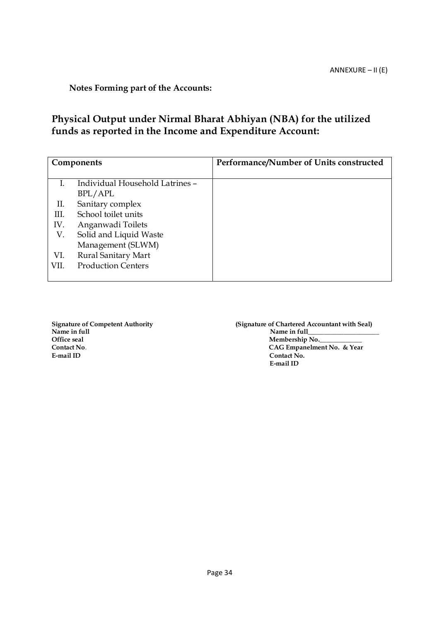**Notes Forming part of the Accounts:**

### **Physical Output under Nirmal Bharat Abhiyan (NBA) for the utilized funds as reported in the Income and Expenditure Account:**

|      | Components                      | Performance/Number of Units constructed |
|------|---------------------------------|-----------------------------------------|
|      | Individual Household Latrines - |                                         |
|      | BPL/APL                         |                                         |
| П.   | Sanitary complex                |                                         |
| Ш.   | School toilet units             |                                         |
| IV.  | Anganwadi Toilets               |                                         |
| V.   | Solid and Liquid Waste          |                                         |
|      | Management (SLWM)               |                                         |
| VI.  | Rural Sanitary Mart             |                                         |
| VII. | <b>Production Centers</b>       |                                         |
|      |                                 |                                         |

Name in full<br>Office seal<br>**Name in full** Office seal Membership No.<br>
Contact No. Contact No.

Signature of Competent Authority **(Signature of Chartered Accountant with Seal)**<br>Name in full **Name Contact No**. **CAG Empanelment No. & Year Contact No. E-mail ID**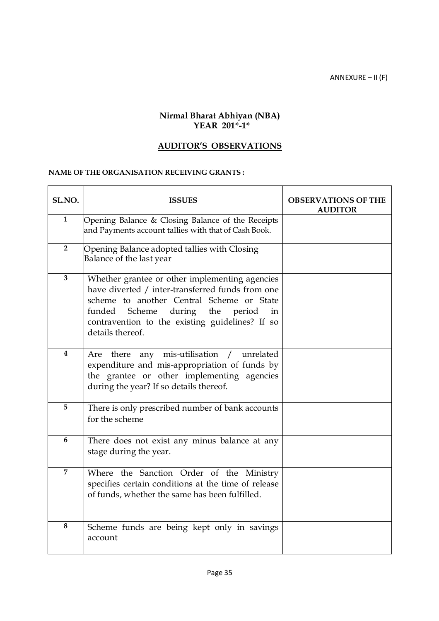ANNEXURE – II (F)

#### **Nirmal Bharat Abhiyan (NBA) YEAR 201\*-1\***

#### **AUDITOR'S OBSERVATIONS**

#### **NAME OF THE ORGANISATION RECEIVING GRANTS :**

| SL.NO.         | <b>ISSUES</b>                                                                                                                                                                                                                                                            | <b>OBSERVATIONS OF THE</b><br><b>AUDITOR</b> |
|----------------|--------------------------------------------------------------------------------------------------------------------------------------------------------------------------------------------------------------------------------------------------------------------------|----------------------------------------------|
| $\mathbf{1}$   | Opening Balance & Closing Balance of the Receipts<br>and Payments account tallies with that of Cash Book.                                                                                                                                                                |                                              |
| $\overline{2}$ | Opening Balance adopted tallies with Closing<br>Balance of the last year                                                                                                                                                                                                 |                                              |
| $\overline{3}$ | Whether grantee or other implementing agencies<br>have diverted / inter-transferred funds from one<br>scheme to another Central Scheme or State<br>funded<br>during the<br>Scheme<br>period<br>in<br>contravention to the existing guidelines? If so<br>details thereof. |                                              |
| 4              | any mis-utilisation<br>unrelated<br>Are<br>there<br>$\sqrt{2}$<br>expenditure and mis-appropriation of funds by<br>the grantee or other implementing agencies<br>during the year? If so details thereof.                                                                 |                                              |
| 5              | There is only prescribed number of bank accounts<br>for the scheme                                                                                                                                                                                                       |                                              |
| 6              | There does not exist any minus balance at any<br>stage during the year.                                                                                                                                                                                                  |                                              |
| $\overline{7}$ | Where the Sanction Order of the Ministry<br>specifies certain conditions at the time of release<br>of funds, whether the same has been fulfilled.                                                                                                                        |                                              |
| 8              | Scheme funds are being kept only in savings<br>account                                                                                                                                                                                                                   |                                              |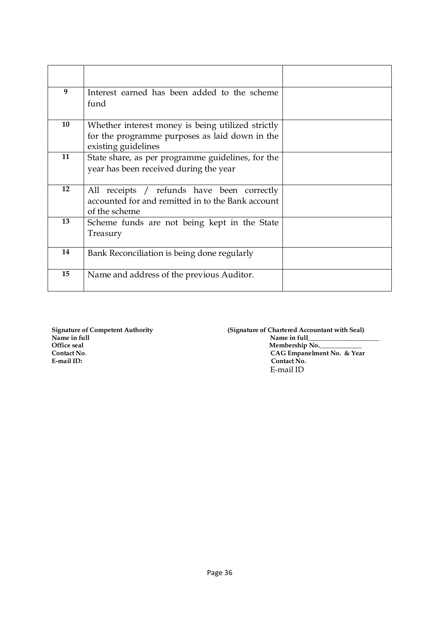| 9  | Interest earned has been added to the scheme<br>fund                                                                       |  |
|----|----------------------------------------------------------------------------------------------------------------------------|--|
| 10 | Whether interest money is being utilized strictly<br>for the programme purposes as laid down in the<br>existing guidelines |  |
| 11 | State share, as per programme guidelines, for the<br>year has been received during the year                                |  |
| 12 | All receipts / refunds have been correctly<br>accounted for and remitted in to the Bank account<br>of the scheme           |  |
| 13 | Scheme funds are not being kept in the State<br>Treasury                                                                   |  |
| 14 | Bank Reconciliation is being done regularly                                                                                |  |
| 15 | Name and address of the previous Auditor.                                                                                  |  |

**Signature of Competent Authority (Signature of Chartered Accountant with Seal)** Name in full **Name in full Name in full Name in full Name in full Name in full Name in full Name in full Name in full Name in full Name in full Name in full Name in full Name in full Name in full** Office seal **Membership No.\_\_\_\_\_\_\_\_\_\_\_\_\_\_\_\_\_ Contact No. CAG Empanelment No. & Year CAG Empanelment No. & Year Contact No.** Contact No. E-mail ID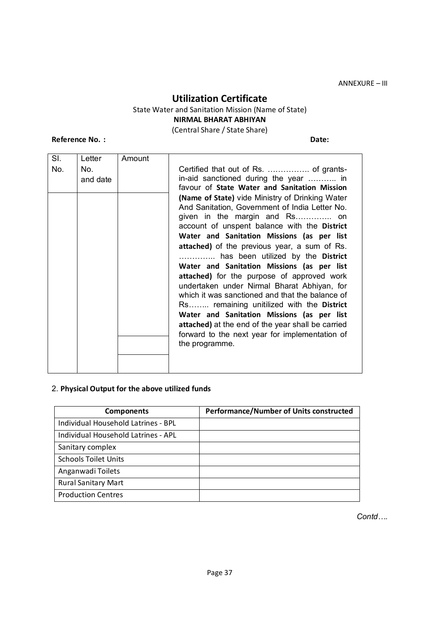#### **Utilization Certificate**

### State Water and Sanitation Mission (Name of State)

**NIRMAL BHARAT ABHIYAN**

(Central Share / State Share)

**Reference No. : Date:**

| SI. | Letter          | Amount |                                                                                                                                                                                                                                                                                                                                                                                                                                                                                                                                                                                                                                                                                                                                                                                                                                  |
|-----|-----------------|--------|----------------------------------------------------------------------------------------------------------------------------------------------------------------------------------------------------------------------------------------------------------------------------------------------------------------------------------------------------------------------------------------------------------------------------------------------------------------------------------------------------------------------------------------------------------------------------------------------------------------------------------------------------------------------------------------------------------------------------------------------------------------------------------------------------------------------------------|
| No. | No.<br>and date |        | in-aid sanctioned during the year  in<br>favour of State Water and Sanitation Mission<br>(Name of State) vide Ministry of Drinking Water<br>And Sanitation, Government of India Letter No.<br>given in the margin and Rs on<br>account of unspent balance with the District<br>Water and Sanitation Missions (as per list<br>attached) of the previous year, a sum of Rs.<br>has been utilized by the District<br>Water and Sanitation Missions (as per list<br>attached) for the purpose of approved work<br>undertaken under Nirmal Bharat Abhiyan, for<br>which it was sanctioned and that the balance of<br>Rs remaining unitilized with the District<br>Water and Sanitation Missions (as per list<br>attached) at the end of the year shall be carried<br>forward to the next year for implementation of<br>the programme. |
|     |                 |        |                                                                                                                                                                                                                                                                                                                                                                                                                                                                                                                                                                                                                                                                                                                                                                                                                                  |

#### 2. **Physical Output for the above utilized funds**

| <b>Components</b>                   | <b>Performance/Number of Units constructed</b> |
|-------------------------------------|------------------------------------------------|
| Individual Household Latrines - BPL |                                                |
| Individual Household Latrines - APL |                                                |
| Sanitary complex                    |                                                |
| <b>Schools Toilet Units</b>         |                                                |
| Anganwadi Toilets                   |                                                |
| <b>Rural Sanitary Mart</b>          |                                                |
| <b>Production Centres</b>           |                                                |

*Contd….*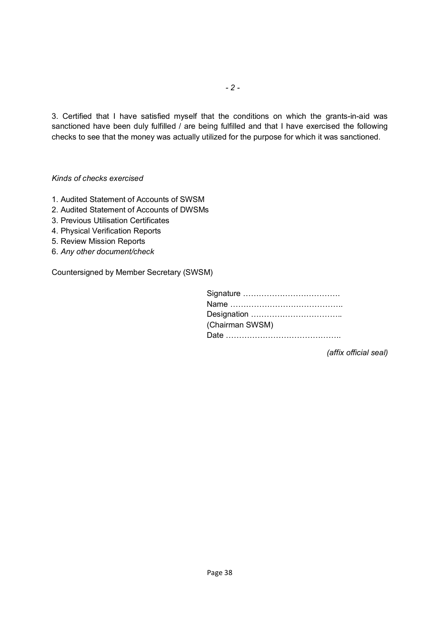3. Certified that I have satisfied myself that the conditions on which the grants-in-aid was sanctioned have been duly fulfilled / are being fulfilled and that I have exercised the following checks to see that the money was actually utilized for the purpose for which it was sanctioned.

*Kinds of checks exercised*

- 1. Audited Statement of Accounts of SWSM
- 2. Audited Statement of Accounts of DWSMs
- 3. Previous Utilisation Certificates
- 4. Physical Verification Reports
- 5. Review Mission Reports
- 6. *Any other document/check*

Countersigned by Member Secretary (SWSM)

| (Chairman SWSM) |
|-----------------|
|                 |

*(affix official seal)*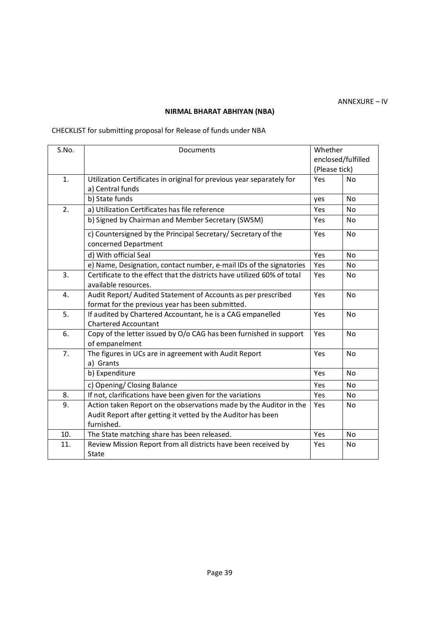#### **NIRMAL BHARAT ABHIYAN (NBA)**

### CHECKLIST for submitting proposal for Release of funds under NBA

| S.No. | Documents                                                               |               | Whether            |  |
|-------|-------------------------------------------------------------------------|---------------|--------------------|--|
|       |                                                                         |               | enclosed/fulfilled |  |
|       |                                                                         | (Please tick) |                    |  |
| 1.    | Utilization Certificates in original for previous year separately for   | Yes           | No                 |  |
|       | a) Central funds                                                        |               |                    |  |
|       | b) State funds                                                          | yes           | <b>No</b>          |  |
| 2.    | a) Utilization Certificates has file reference                          | Yes           | No                 |  |
|       | b) Signed by Chairman and Member Secretary (SWSM)                       | Yes           | <b>No</b>          |  |
|       | c) Countersigned by the Principal Secretary/ Secretary of the           | Yes           | No                 |  |
|       | concerned Department                                                    |               |                    |  |
|       | d) With official Seal                                                   | Yes           | No                 |  |
|       | e) Name, Designation, contact number, e-mail IDs of the signatories     | Yes           | No                 |  |
| 3.    | Certificate to the effect that the districts have utilized 60% of total | Yes           | N <sub>o</sub>     |  |
|       | available resources.                                                    |               |                    |  |
| 4.    | Audit Report/ Audited Statement of Accounts as per prescribed           | Yes           | No                 |  |
|       | format for the previous year has been submitted.                        |               |                    |  |
| 5.    | If audited by Chartered Accountant, he is a CAG empanelled              | Yes           | <b>No</b>          |  |
|       | <b>Chartered Accountant</b>                                             |               |                    |  |
| 6.    | Copy of the letter issued by O/o CAG has been furnished in support      | Yes           | No                 |  |
|       | of empanelment                                                          |               |                    |  |
| 7.    | The figures in UCs are in agreement with Audit Report                   | Yes           | N <sub>o</sub>     |  |
|       | a) Grants                                                               |               |                    |  |
|       | b) Expenditure                                                          | Yes           | No                 |  |
|       | c) Opening/ Closing Balance                                             | Yes           | No                 |  |
| 8.    | If not, clarifications have been given for the variations               | Yes           | No                 |  |
| 9.    | Action taken Report on the observations made by the Auditor in the      | Yes           | N <sub>o</sub>     |  |
|       | Audit Report after getting it vetted by the Auditor has been            |               |                    |  |
|       | furnished.                                                              |               |                    |  |
| 10.   | The State matching share has been released.                             | Yes           | No                 |  |
| 11.   | Review Mission Report from all districts have been received by          | Yes           | No                 |  |
|       | State                                                                   |               |                    |  |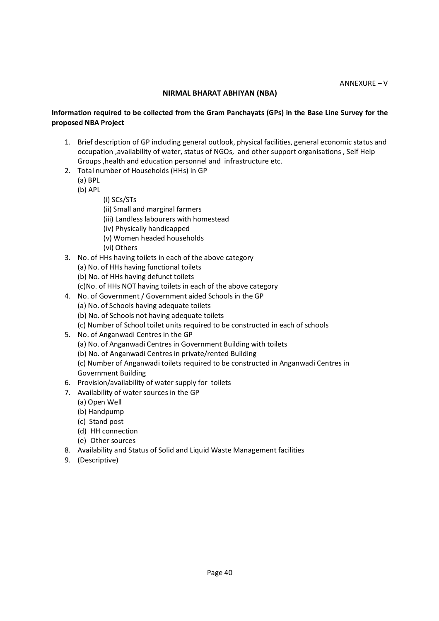#### **NIRMAL BHARAT ABHIYAN (NBA)**

#### **Information required to be collected from the Gram Panchayats (GPs) in the Base Line Survey for the proposed NBA Project**

- 1. Brief description of GP including general outlook, physical facilities, general economic status and occupation ,availability of water, status of NGOs, and other support organisations , Self Help Groups ,health and education personnel and infrastructure etc.
- 2. Total number of Households (HHs) in GP
	- (a) BPL
	- (b) APL
		- (i) SCs/STs
		- (ii) Small and marginal farmers
		- (iii) Landless labourers with homestead
		- (iv) Physically handicapped
		- (v) Women headed households
		- (vi) Others
- 3. No. of HHs having toilets in each of the above category
	- (a) No. of HHs having functional toilets
	- (b) No. of HHs having defunct toilets
	- (c)No. of HHs NOT having toilets in each of the above category
- 4. No. of Government / Government aided Schools in the GP
	- (a) No. of Schools having adequate toilets
	- (b) No. of Schools not having adequate toilets
	- (c) Number of School toilet units required to be constructed in each of schools
- 5. No. of Anganwadi Centres in the GP
	- (a) No. of Anganwadi Centres in Government Building with toilets
	- (b) No. of Anganwadi Centres in private/rented Building

(c) Number of Anganwadi toilets required to be constructed in Anganwadi Centres in Government Building

- 6. Provision/availability of water supply for toilets
- 7. Availability of water sources in the GP
	- (a) Open Well
	- (b) Handpump
	- (c) Stand post
	- (d) HH connection
	- (e) Other sources
- 8. Availability and Status of Solid and Liquid Waste Management facilities
- 9. (Descriptive)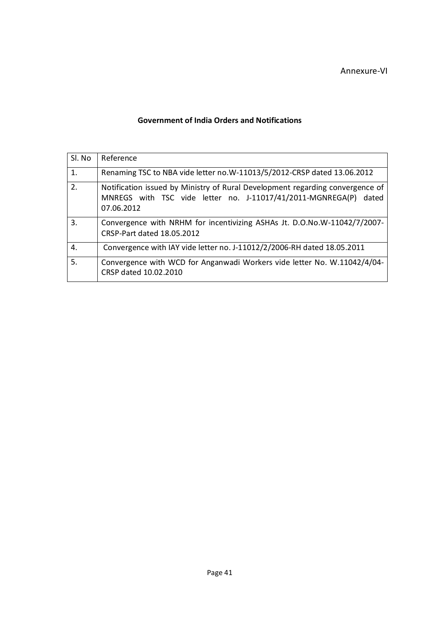#### Annexure-VI

#### **Government of India Orders and Notifications**

| Sl. No | Reference                                                                                                                                                       |
|--------|-----------------------------------------------------------------------------------------------------------------------------------------------------------------|
| 1.     | Renaming TSC to NBA vide letter no.W-11013/5/2012-CRSP dated 13.06.2012                                                                                         |
| 2.     | Notification issued by Ministry of Rural Development regarding convergence of<br>MNREGS with TSC vide letter no. J-11017/41/2011-MGNREGA(P) dated<br>07.06.2012 |
| 3.     | Convergence with NRHM for incentivizing ASHAs Jt. D.O.No.W-11042/7/2007-<br>CRSP-Part dated 18.05.2012                                                          |
| 4.     | Convergence with IAY vide letter no. J-11012/2/2006-RH dated 18.05.2011                                                                                         |
| 5.     | Convergence with WCD for Anganwadi Workers vide letter No. W.11042/4/04-<br>CRSP dated 10.02.2010                                                               |